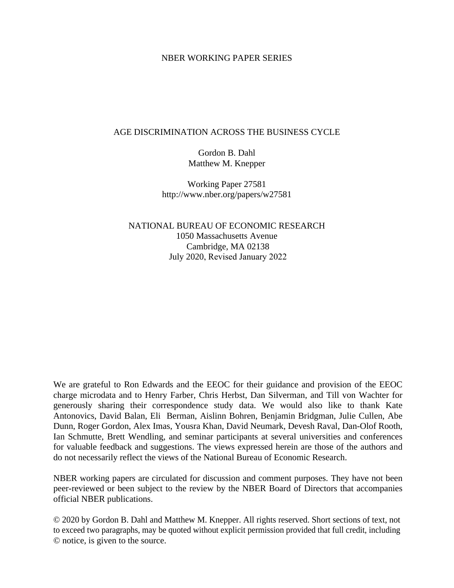#### NBER WORKING PAPER SERIES

#### AGE DISCRIMINATION ACROSS THE BUSINESS CYCLE

Gordon B. Dahl Matthew M. Knepper

Working Paper 27581 http://www.nber.org/papers/w27581

NATIONAL BUREAU OF ECONOMIC RESEARCH 1050 Massachusetts Avenue Cambridge, MA 02138 July 2020, Revised January 2022

We are grateful to Ron Edwards and the EEOC for their guidance and provision of the EEOC charge microdata and to Henry Farber, Chris Herbst, Dan Silverman, and Till von Wachter for generously sharing their correspondence study data. We would also like to thank Kate Antonovics, David Balan, Eli Berman, Aislinn Bohren, Benjamin Bridgman, Julie Cullen, Abe Dunn, Roger Gordon, Alex Imas, Yousra Khan, David Neumark, Devesh Raval, Dan-Olof Rooth, Ian Schmutte, Brett Wendling, and seminar participants at several universities and conferences for valuable feedback and suggestions. The views expressed herein are those of the authors and do not necessarily reflect the views of the National Bureau of Economic Research.

NBER working papers are circulated for discussion and comment purposes. They have not been peer-reviewed or been subject to the review by the NBER Board of Directors that accompanies official NBER publications.

© 2020 by Gordon B. Dahl and Matthew M. Knepper. All rights reserved. Short sections of text, not to exceed two paragraphs, may be quoted without explicit permission provided that full credit, including © notice, is given to the source.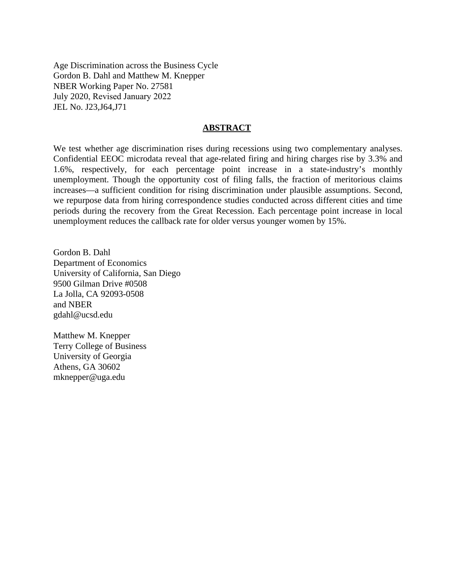Age Discrimination across the Business Cycle Gordon B. Dahl and Matthew M. Knepper NBER Working Paper No. 27581 July 2020, Revised January 2022 JEL No. J23,J64,J71

#### **ABSTRACT**

We test whether age discrimination rises during recessions using two complementary analyses. Confidential EEOC microdata reveal that age-related firing and hiring charges rise by 3.3% and 1.6%, respectively, for each percentage point increase in a state-industry's monthly unemployment. Though the opportunity cost of filing falls, the fraction of meritorious claims increases—a sufficient condition for rising discrimination under plausible assumptions. Second, we repurpose data from hiring correspondence studies conducted across different cities and time periods during the recovery from the Great Recession. Each percentage point increase in local unemployment reduces the callback rate for older versus younger women by 15%.

Gordon B. Dahl Department of Economics University of California, San Diego 9500 Gilman Drive #0508 La Jolla, CA 92093-0508 and NBER gdahl@ucsd.edu

Matthew M. Knepper Terry College of Business University of Georgia Athens, GA 30602 mknepper@uga.edu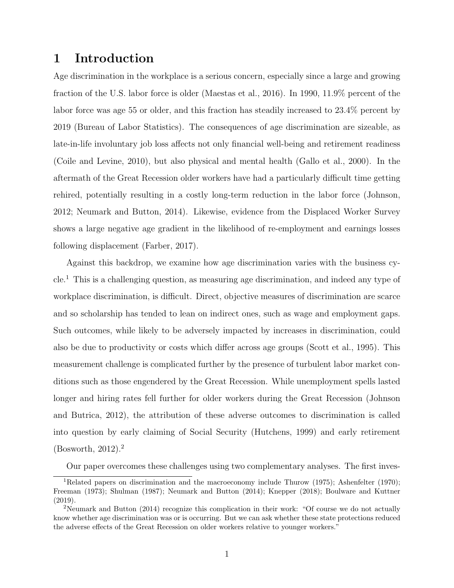# 1 Introduction

Age discrimination in the workplace is a serious concern, especially since a large and growing fraction of the U.S. labor force is older (Maestas et al., 2016). In 1990, 11.9% percent of the labor force was age 55 or older, and this fraction has steadily increased to 23.4% percent by 2019 (Bureau of Labor Statistics). The consequences of age discrimination are sizeable, as late-in-life involuntary job loss affects not only financial well-being and retirement readiness (Coile and Levine, 2010), but also physical and mental health (Gallo et al., 2000). In the aftermath of the Great Recession older workers have had a particularly difficult time getting rehired, potentially resulting in a costly long-term reduction in the labor force (Johnson, 2012; Neumark and Button, 2014). Likewise, evidence from the Displaced Worker Survey shows a large negative age gradient in the likelihood of re-employment and earnings losses following displacement (Farber, 2017).

Against this backdrop, we examine how age discrimination varies with the business cycle.<sup>1</sup> This is a challenging question, as measuring age discrimination, and indeed any type of workplace discrimination, is difficult. Direct, objective measures of discrimination are scarce and so scholarship has tended to lean on indirect ones, such as wage and employment gaps. Such outcomes, while likely to be adversely impacted by increases in discrimination, could also be due to productivity or costs which differ across age groups (Scott et al., 1995). This measurement challenge is complicated further by the presence of turbulent labor market conditions such as those engendered by the Great Recession. While unemployment spells lasted longer and hiring rates fell further for older workers during the Great Recession (Johnson and Butrica, 2012), the attribution of these adverse outcomes to discrimination is called into question by early claiming of Social Security (Hutchens, 1999) and early retirement (Bosworth, 2012).<sup>2</sup>

Our paper overcomes these challenges using two complementary analyses. The first inves-

<sup>&</sup>lt;sup>1</sup>Related papers on discrimination and the macroeconomy include Thurow (1975); Ashenfelter (1970); Freeman (1973); Shulman (1987); Neumark and Button (2014); Knepper (2018); Boulware and Kuttner (2019).

<sup>&</sup>lt;sup>2</sup>Neumark and Button (2014) recognize this complication in their work: "Of course we do not actually know whether age discrimination was or is occurring. But we can ask whether these state protections reduced the adverse effects of the Great Recession on older workers relative to younger workers."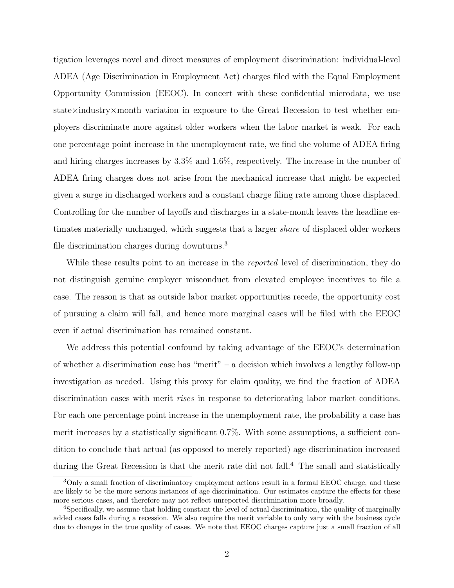tigation leverages novel and direct measures of employment discrimination: individual-level ADEA (Age Discrimination in Employment Act) charges filed with the Equal Employment Opportunity Commission (EEOC). In concert with these confidential microdata, we use state×industry×month variation in exposure to the Great Recession to test whether employers discriminate more against older workers when the labor market is weak. For each one percentage point increase in the unemployment rate, we find the volume of ADEA firing and hiring charges increases by 3.3% and 1.6%, respectively. The increase in the number of ADEA firing charges does not arise from the mechanical increase that might be expected given a surge in discharged workers and a constant charge filing rate among those displaced. Controlling for the number of layoffs and discharges in a state-month leaves the headline estimates materially unchanged, which suggests that a larger share of displaced older workers file discrimination charges during downturns.<sup>3</sup>

While these results point to an increase in the *reported* level of discrimination, they do not distinguish genuine employer misconduct from elevated employee incentives to file a case. The reason is that as outside labor market opportunities recede, the opportunity cost of pursuing a claim will fall, and hence more marginal cases will be filed with the EEOC even if actual discrimination has remained constant.

We address this potential confound by taking advantage of the EEOC's determination of whether a discrimination case has "merit" – a decision which involves a lengthy follow-up investigation as needed. Using this proxy for claim quality, we find the fraction of ADEA discrimination cases with merit *rises* in response to deteriorating labor market conditions. For each one percentage point increase in the unemployment rate, the probability a case has merit increases by a statistically significant 0.7%. With some assumptions, a sufficient condition to conclude that actual (as opposed to merely reported) age discrimination increased during the Great Recession is that the merit rate did not fall.<sup>4</sup> The small and statistically

<sup>&</sup>lt;sup>3</sup>Only a small fraction of discriminatory employment actions result in a formal EEOC charge, and these are likely to be the more serious instances of age discrimination. Our estimates capture the effects for these more serious cases, and therefore may not reflect unreported discrimination more broadly.

<sup>4</sup>Specifically, we assume that holding constant the level of actual discrimination, the quality of marginally added cases falls during a recession. We also require the merit variable to only vary with the business cycle due to changes in the true quality of cases. We note that EEOC charges capture just a small fraction of all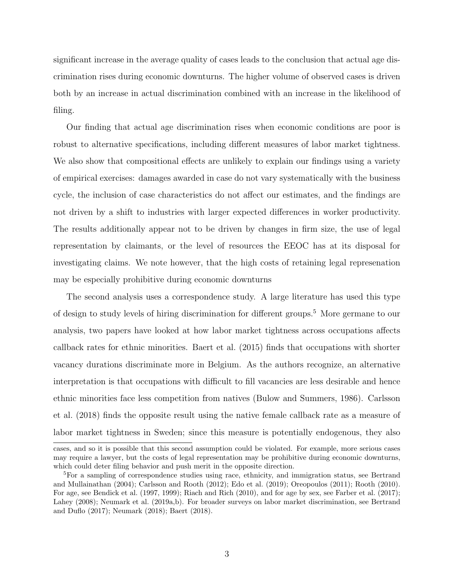significant increase in the average quality of cases leads to the conclusion that actual age discrimination rises during economic downturns. The higher volume of observed cases is driven both by an increase in actual discrimination combined with an increase in the likelihood of filing.

Our finding that actual age discrimination rises when economic conditions are poor is robust to alternative specifications, including different measures of labor market tightness. We also show that compositional effects are unlikely to explain our findings using a variety of empirical exercises: damages awarded in case do not vary systematically with the business cycle, the inclusion of case characteristics do not affect our estimates, and the findings are not driven by a shift to industries with larger expected differences in worker productivity. The results additionally appear not to be driven by changes in firm size, the use of legal representation by claimants, or the level of resources the EEOC has at its disposal for investigating claims. We note however, that the high costs of retaining legal represenation may be especially prohibitive during economic downturns

The second analysis uses a correspondence study. A large literature has used this type of design to study levels of hiring discrimination for different groups.<sup>5</sup> More germane to our analysis, two papers have looked at how labor market tightness across occupations affects callback rates for ethnic minorities. Baert et al. (2015) finds that occupations with shorter vacancy durations discriminate more in Belgium. As the authors recognize, an alternative interpretation is that occupations with difficult to fill vacancies are less desirable and hence ethnic minorities face less competition from natives (Bulow and Summers, 1986). Carlsson et al. (2018) finds the opposite result using the native female callback rate as a measure of labor market tightness in Sweden; since this measure is potentially endogenous, they also

cases, and so it is possible that this second assumption could be violated. For example, more serious cases may require a lawyer, but the costs of legal representation may be prohibitive during economic downturns, which could deter filing behavior and push merit in the opposite direction.

<sup>5</sup>For a sampling of correspondence studies using race, ethnicity, and immigration status, see Bertrand and Mullainathan (2004); Carlsson and Rooth (2012); Edo et al. (2019); Oreopoulos (2011); Rooth (2010). For age, see Bendick et al. (1997, 1999); Riach and Rich (2010), and for age by sex, see Farber et al. (2017); Lahey (2008); Neumark et al. (2019a,b). For broader surveys on labor market discrimination, see Bertrand and Duflo (2017); Neumark (2018); Baert (2018).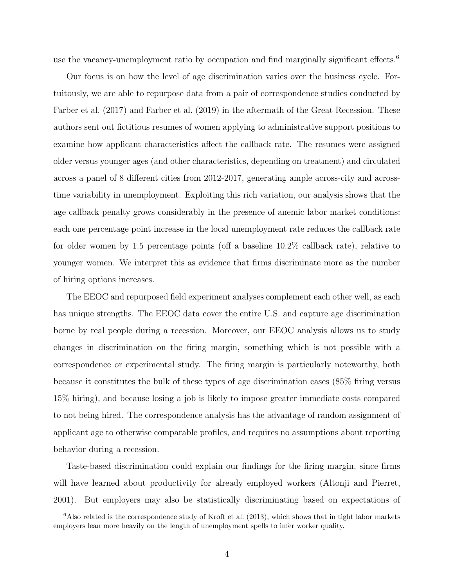use the vacancy-unemployment ratio by occupation and find marginally significant effects.<sup>6</sup>

Our focus is on how the level of age discrimination varies over the business cycle. Fortuitously, we are able to repurpose data from a pair of correspondence studies conducted by Farber et al. (2017) and Farber et al. (2019) in the aftermath of the Great Recession. These authors sent out fictitious resumes of women applying to administrative support positions to examine how applicant characteristics affect the callback rate. The resumes were assigned older versus younger ages (and other characteristics, depending on treatment) and circulated across a panel of 8 different cities from 2012-2017, generating ample across-city and acrosstime variability in unemployment. Exploiting this rich variation, our analysis shows that the age callback penalty grows considerably in the presence of anemic labor market conditions: each one percentage point increase in the local unemployment rate reduces the callback rate for older women by 1.5 percentage points (off a baseline 10.2% callback rate), relative to younger women. We interpret this as evidence that firms discriminate more as the number of hiring options increases.

The EEOC and repurposed field experiment analyses complement each other well, as each has unique strengths. The EEOC data cover the entire U.S. and capture age discrimination borne by real people during a recession. Moreover, our EEOC analysis allows us to study changes in discrimination on the firing margin, something which is not possible with a correspondence or experimental study. The firing margin is particularly noteworthy, both because it constitutes the bulk of these types of age discrimination cases (85% firing versus 15% hiring), and because losing a job is likely to impose greater immediate costs compared to not being hired. The correspondence analysis has the advantage of random assignment of applicant age to otherwise comparable profiles, and requires no assumptions about reporting behavior during a recession.

Taste-based discrimination could explain our findings for the firing margin, since firms will have learned about productivity for already employed workers (Altonji and Pierret, 2001). But employers may also be statistically discriminating based on expectations of

 $6$ Also related is the correspondence study of Kroft et al. (2013), which shows that in tight labor markets employers lean more heavily on the length of unemployment spells to infer worker quality.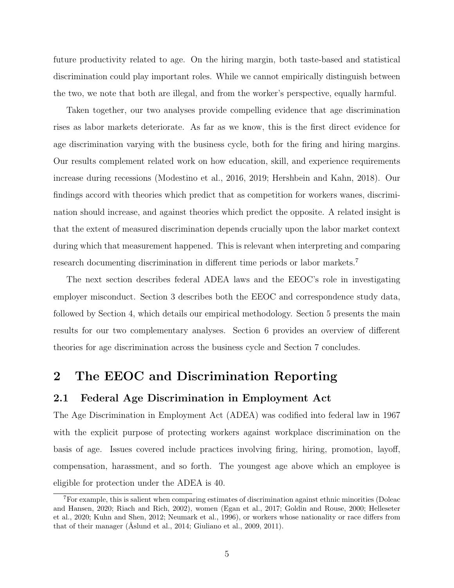future productivity related to age. On the hiring margin, both taste-based and statistical discrimination could play important roles. While we cannot empirically distinguish between the two, we note that both are illegal, and from the worker's perspective, equally harmful.

Taken together, our two analyses provide compelling evidence that age discrimination rises as labor markets deteriorate. As far as we know, this is the first direct evidence for age discrimination varying with the business cycle, both for the firing and hiring margins. Our results complement related work on how education, skill, and experience requirements increase during recessions (Modestino et al., 2016, 2019; Hershbein and Kahn, 2018). Our findings accord with theories which predict that as competition for workers wanes, discrimination should increase, and against theories which predict the opposite. A related insight is that the extent of measured discrimination depends crucially upon the labor market context during which that measurement happened. This is relevant when interpreting and comparing research documenting discrimination in different time periods or labor markets.<sup>7</sup>

The next section describes federal ADEA laws and the EEOC's role in investigating employer misconduct. Section 3 describes both the EEOC and correspondence study data, followed by Section 4, which details our empirical methodology. Section 5 presents the main results for our two complementary analyses. Section 6 provides an overview of different theories for age discrimination across the business cycle and Section 7 concludes.

## 2 The EEOC and Discrimination Reporting

### 2.1 Federal Age Discrimination in Employment Act

The Age Discrimination in Employment Act (ADEA) was codified into federal law in 1967 with the explicit purpose of protecting workers against workplace discrimination on the basis of age. Issues covered include practices involving firing, hiring, promotion, layoff, compensation, harassment, and so forth. The youngest age above which an employee is eligible for protection under the ADEA is 40.

 ${}^{7}$ For example, this is salient when comparing estimates of discrimination against ethnic minorities (Doleac and Hansen, 2020; Riach and Rich, 2002), women (Egan et al., 2017; Goldin and Rouse, 2000; Helleseter et al., 2020; Kuhn and Shen, 2012; Neumark et al., 1996), or workers whose nationality or race differs from that of their manager (Åslund et al., 2014; Giuliano et al., 2009, 2011).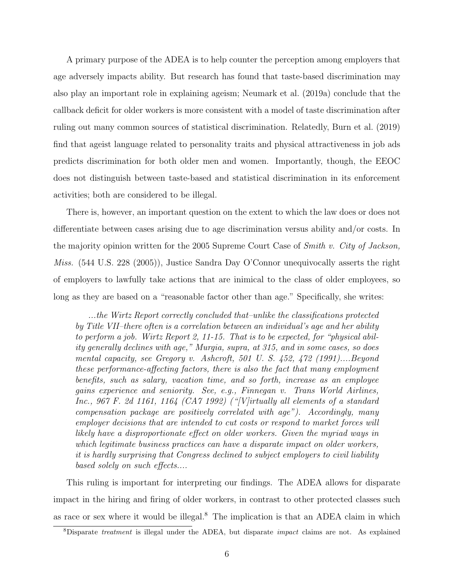A primary purpose of the ADEA is to help counter the perception among employers that age adversely impacts ability. But research has found that taste-based discrimination may also play an important role in explaining ageism; Neumark et al. (2019a) conclude that the callback deficit for older workers is more consistent with a model of taste discrimination after ruling out many common sources of statistical discrimination. Relatedly, Burn et al. (2019) find that ageist language related to personality traits and physical attractiveness in job ads predicts discrimination for both older men and women. Importantly, though, the EEOC does not distinguish between taste-based and statistical discrimination in its enforcement activities; both are considered to be illegal.

There is, however, an important question on the extent to which the law does or does not differentiate between cases arising due to age discrimination versus ability and/or costs. In the majority opinion written for the 2005 Supreme Court Case of Smith v. City of Jackson, Miss. (544 U.S. 228 (2005)), Justice Sandra Day O'Connor unequivocally asserts the right of employers to lawfully take actions that are inimical to the class of older employees, so long as they are based on a "reasonable factor other than age." Specifically, she writes:

...the Wirtz Report correctly concluded that–unlike the classifications protected by Title VII–there often is a correlation between an individual's age and her ability to perform a job. Wirtz Report 2, 11-15. That is to be expected, for "physical ability generally declines with age," Murgia, supra, at 315, and in some cases, so does mental capacity, see Gregory v. Ashcroft, 501 U. S. 452, 472 (1991)....Beyond these performance-affecting factors, there is also the fact that many employment benefits, such as salary, vacation time, and so forth, increase as an employee gains experience and seniority. See, e.g., Finnegan v. Trans World Airlines, Inc., 967 F. 2d 1161, 1164 (CA7 1992) ("[V]irtually all elements of a standard compensation package are positively correlated with age"). Accordingly, many employer decisions that are intended to cut costs or respond to market forces will likely have a disproportionate effect on older workers. Given the myriad ways in which legitimate business practices can have a disparate impact on older workers, it is hardly surprising that Congress declined to subject employers to civil liability based solely on such effects....

This ruling is important for interpreting our findings. The ADEA allows for disparate impact in the hiring and firing of older workers, in contrast to other protected classes such as race or sex where it would be illegal.<sup>8</sup> The implication is that an ADEA claim in which

<sup>8</sup>Disparate treatment is illegal under the ADEA, but disparate impact claims are not. As explained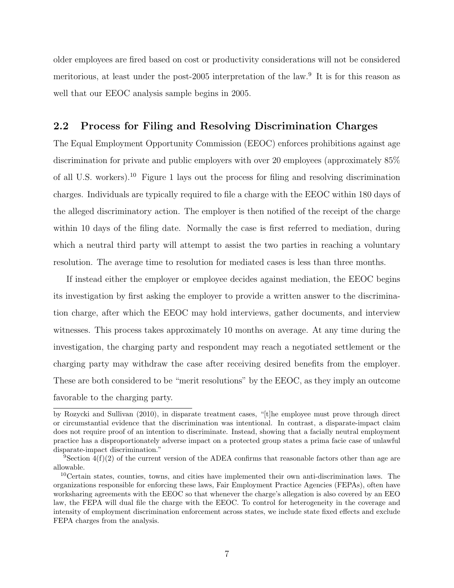older employees are fired based on cost or productivity considerations will not be considered meritorious, at least under the post-2005 interpretation of the law.<sup>9</sup> It is for this reason as well that our EEOC analysis sample begins in 2005.

### 2.2 Process for Filing and Resolving Discrimination Charges

The Equal Employment Opportunity Commission (EEOC) enforces prohibitions against age discrimination for private and public employers with over 20 employees (approximately 85% of all U.S. workers).<sup>10</sup> Figure 1 lays out the process for filing and resolving discrimination charges. Individuals are typically required to file a charge with the EEOC within 180 days of the alleged discriminatory action. The employer is then notified of the receipt of the charge within 10 days of the filing date. Normally the case is first referred to mediation, during which a neutral third party will attempt to assist the two parties in reaching a voluntary resolution. The average time to resolution for mediated cases is less than three months.

If instead either the employer or employee decides against mediation, the EEOC begins its investigation by first asking the employer to provide a written answer to the discrimination charge, after which the EEOC may hold interviews, gather documents, and interview witnesses. This process takes approximately 10 months on average. At any time during the investigation, the charging party and respondent may reach a negotiated settlement or the charging party may withdraw the case after receiving desired benefits from the employer. These are both considered to be "merit resolutions" by the EEOC, as they imply an outcome favorable to the charging party.

by Rozycki and Sullivan (2010), in disparate treatment cases, "[t]he employee must prove through direct or circumstantial evidence that the discrimination was intentional. In contrast, a disparate-impact claim does not require proof of an intention to discriminate. Instead, showing that a facially neutral employment practice has a disproportionately adverse impact on a protected group states a prima facie case of unlawful disparate-impact discrimination."

<sup>&</sup>lt;sup>9</sup>Section  $4(f)(2)$  of the current version of the ADEA confirms that reasonable factors other than age are allowable.

<sup>10</sup>Certain states, counties, towns, and cities have implemented their own anti-discrimination laws. The organizations responsible for enforcing these laws, Fair Employment Practice Agencies (FEPAs), often have worksharing agreements with the EEOC so that whenever the charge's allegation is also covered by an EEO law, the FEPA will dual file the charge with the EEOC. To control for heterogeneity in the coverage and intensity of employment discrimination enforcement across states, we include state fixed effects and exclude FEPA charges from the analysis.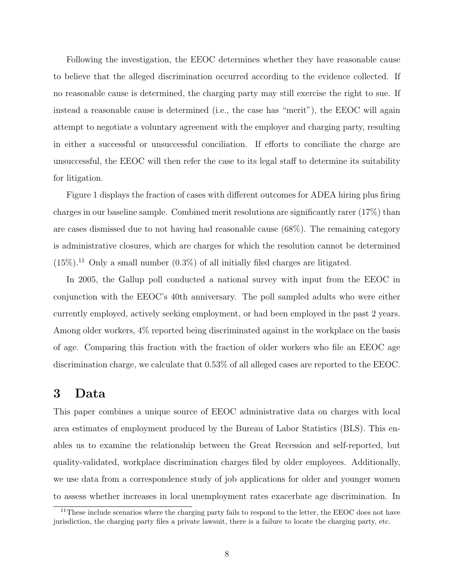Following the investigation, the EEOC determines whether they have reasonable cause to believe that the alleged discrimination occurred according to the evidence collected. If no reasonable cause is determined, the charging party may still exercise the right to sue. If instead a reasonable cause is determined (i.e., the case has "merit"), the EEOC will again attempt to negotiate a voluntary agreement with the employer and charging party, resulting in either a successful or unsuccessful conciliation. If efforts to conciliate the charge are unsuccessful, the EEOC will then refer the case to its legal staff to determine its suitability for litigation.

Figure 1 displays the fraction of cases with different outcomes for ADEA hiring plus firing charges in our baseline sample. Combined merit resolutions are significantly rarer (17%) than are cases dismissed due to not having had reasonable cause (68%). The remaining category is administrative closures, which are charges for which the resolution cannot be determined  $(15\%)$ <sup>11</sup> Only a small number  $(0.3\%)$  of all initially filed charges are litigated.

In 2005, the Gallup poll conducted a national survey with input from the EEOC in conjunction with the EEOC's 40th anniversary. The poll sampled adults who were either currently employed, actively seeking employment, or had been employed in the past 2 years. Among older workers, 4% reported being discriminated against in the workplace on the basis of age. Comparing this fraction with the fraction of older workers who file an EEOC age discrimination charge, we calculate that 0.53% of all alleged cases are reported to the EEOC.

## 3 Data

This paper combines a unique source of EEOC administrative data on charges with local area estimates of employment produced by the Bureau of Labor Statistics (BLS). This enables us to examine the relationship between the Great Recession and self-reported, but quality-validated, workplace discrimination charges filed by older employees. Additionally, we use data from a correspondence study of job applications for older and younger women to assess whether increases in local unemployment rates exacerbate age discrimination. In

 $11$ These include scenarios where the charging party fails to respond to the letter, the EEOC does not have jurisdiction, the charging party files a private lawsuit, there is a failure to locate the charging party, etc.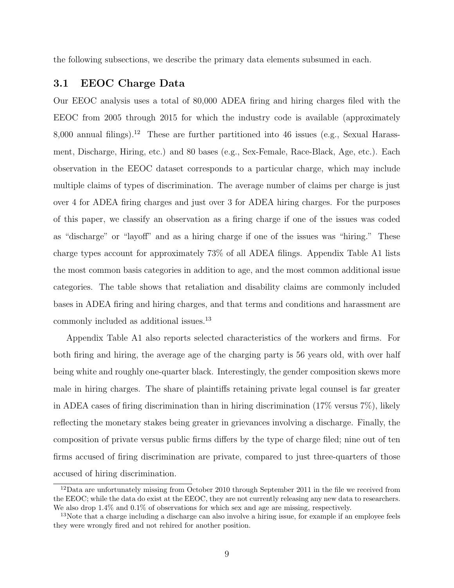the following subsections, we describe the primary data elements subsumed in each.

#### 3.1 EEOC Charge Data

Our EEOC analysis uses a total of 80,000 ADEA firing and hiring charges filed with the EEOC from 2005 through 2015 for which the industry code is available (approximately 8,000 annual filings).<sup>12</sup> These are further partitioned into 46 issues (e.g., Sexual Harassment, Discharge, Hiring, etc.) and 80 bases (e.g., Sex-Female, Race-Black, Age, etc.). Each observation in the EEOC dataset corresponds to a particular charge, which may include multiple claims of types of discrimination. The average number of claims per charge is just over 4 for ADEA firing charges and just over 3 for ADEA hiring charges. For the purposes of this paper, we classify an observation as a firing charge if one of the issues was coded as "discharge" or "layoff" and as a hiring charge if one of the issues was "hiring." These charge types account for approximately 73% of all ADEA filings. Appendix Table A1 lists the most common basis categories in addition to age, and the most common additional issue categories. The table shows that retaliation and disability claims are commonly included bases in ADEA firing and hiring charges, and that terms and conditions and harassment are commonly included as additional issues.<sup>13</sup>

Appendix Table A1 also reports selected characteristics of the workers and firms. For both firing and hiring, the average age of the charging party is 56 years old, with over half being white and roughly one-quarter black. Interestingly, the gender composition skews more male in hiring charges. The share of plaintiffs retaining private legal counsel is far greater in ADEA cases of firing discrimination than in hiring discrimination  $(17\%$  versus  $7\%)$ , likely reflecting the monetary stakes being greater in grievances involving a discharge. Finally, the composition of private versus public firms differs by the type of charge filed; nine out of ten firms accused of firing discrimination are private, compared to just three-quarters of those accused of hiring discrimination.

<sup>&</sup>lt;sup>12</sup>Data are unfortunately missing from October 2010 through September 2011 in the file we received from the EEOC; while the data do exist at the EEOC, they are not currently releasing any new data to researchers. We also drop  $1.4\%$  and  $0.1\%$  of observations for which sex and age are missing, respectively.

<sup>&</sup>lt;sup>13</sup>Note that a charge including a discharge can also involve a hiring issue, for example if an employee feels they were wrongly fired and not rehired for another position.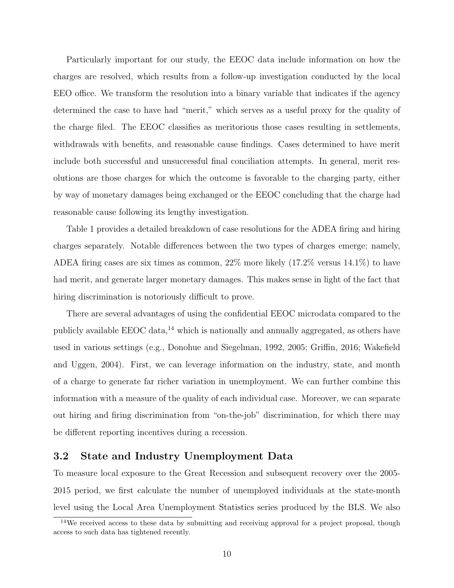Particularly important for our study, the EEOC data include information on how the charges are resolved, which results from a follow-up investigation conducted by the local EEO office. We transform the resolution into a binary variable that indicates if the agency determined the case to have had "merit," which serves as a useful proxy for the quality of the charge filed. The EEOC classifies as meritorious those cases resulting in settlements, withdrawals with benefits, and reasonable cause findings. Cases determined to have merit include both successful and unsuccessful final conciliation attempts. In general, merit resolutions are those charges for which the outcome is favorable to the charging party, either by way of monetary damages being exchanged or the EEOC concluding that the charge had reasonable cause following its lengthy investigation.

Table 1 provides a detailed breakdown of case resolutions for the ADEA firing and hiring charges separately. Notable differences between the two types of charges emerge; namely, ADEA firing cases are six times as common, 22% more likely (17.2% versus 14.1%) to have had merit, and generate larger monetary damages. This makes sense in light of the fact that hiring discrimination is notoriously difficult to prove.

There are several advantages of using the confidential EEOC microdata compared to the publicly available EEOC data, $^{14}$  which is nationally and annually aggregated, as others have used in various settings (e.g., Donohue and Siegelman, 1992, 2005; Griffin, 2016; Wakefield and Uggen, 2004). First, we can leverage information on the industry, state, and month of a charge to generate far richer variation in unemployment. We can further combine this information with a measure of the quality of each individual case. Moreover, we can separate out hiring and firing discrimination from "on-the-job" discrimination, for which there may be different reporting incentives during a recession.

### 3.2 State and Industry Unemployment Data

To measure local exposure to the Great Recession and subsequent recovery over the 2005- 2015 period, we first calculate the number of unemployed individuals at the state-month level using the Local Area Unemployment Statistics series produced by the BLS. We also

<sup>&</sup>lt;sup>14</sup>We received access to these data by submitting and receiving approval for a project proposal, though access to such data has tightened recently.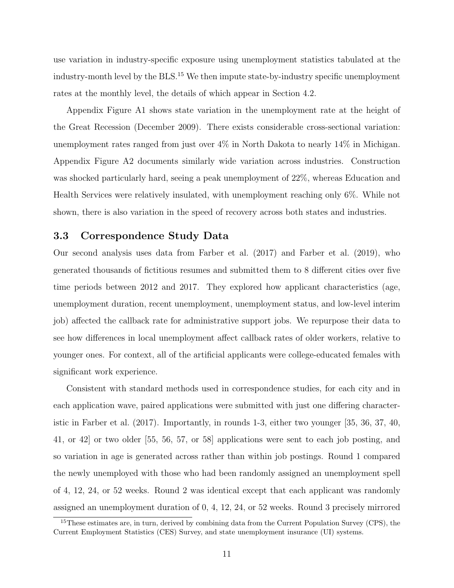use variation in industry-specific exposure using unemployment statistics tabulated at the industry-month level by the  $BLS$ .<sup>15</sup> We then impute state-by-industry specific unemployment rates at the monthly level, the details of which appear in Section 4.2.

Appendix Figure A1 shows state variation in the unemployment rate at the height of the Great Recession (December 2009). There exists considerable cross-sectional variation: unemployment rates ranged from just over 4% in North Dakota to nearly 14% in Michigan. Appendix Figure A2 documents similarly wide variation across industries. Construction was shocked particularly hard, seeing a peak unemployment of 22%, whereas Education and Health Services were relatively insulated, with unemployment reaching only 6%. While not shown, there is also variation in the speed of recovery across both states and industries.

### 3.3 Correspondence Study Data

Our second analysis uses data from Farber et al. (2017) and Farber et al. (2019), who generated thousands of fictitious resumes and submitted them to 8 different cities over five time periods between 2012 and 2017. They explored how applicant characteristics (age, unemployment duration, recent unemployment, unemployment status, and low-level interim job) affected the callback rate for administrative support jobs. We repurpose their data to see how differences in local unemployment affect callback rates of older workers, relative to younger ones. For context, all of the artificial applicants were college-educated females with significant work experience.

Consistent with standard methods used in correspondence studies, for each city and in each application wave, paired applications were submitted with just one differing characteristic in Farber et al. (2017). Importantly, in rounds 1-3, either two younger [35, 36, 37, 40, 41, or 42] or two older [55, 56, 57, or 58] applications were sent to each job posting, and so variation in age is generated across rather than within job postings. Round 1 compared the newly unemployed with those who had been randomly assigned an unemployment spell of 4, 12, 24, or 52 weeks. Round 2 was identical except that each applicant was randomly assigned an unemployment duration of 0, 4, 12, 24, or 52 weeks. Round 3 precisely mirrored

<sup>&</sup>lt;sup>15</sup>These estimates are, in turn, derived by combining data from the Current Population Survey (CPS), the Current Employment Statistics (CES) Survey, and state unemployment insurance (UI) systems.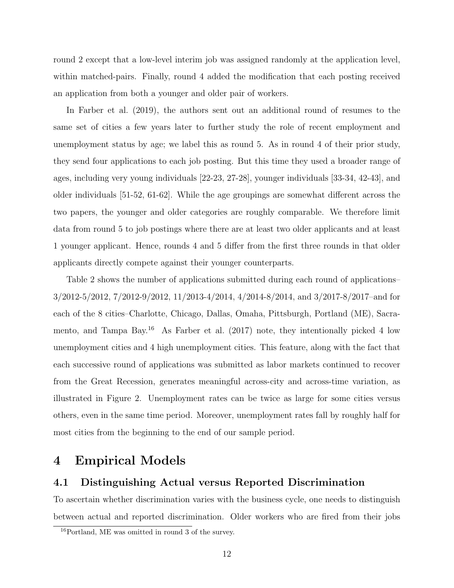round 2 except that a low-level interim job was assigned randomly at the application level, within matched-pairs. Finally, round 4 added the modification that each posting received an application from both a younger and older pair of workers.

In Farber et al. (2019), the authors sent out an additional round of resumes to the same set of cities a few years later to further study the role of recent employment and unemployment status by age; we label this as round 5. As in round 4 of their prior study, they send four applications to each job posting. But this time they used a broader range of ages, including very young individuals [22-23, 27-28], younger individuals [33-34, 42-43], and older individuals [51-52, 61-62]. While the age groupings are somewhat different across the two papers, the younger and older categories are roughly comparable. We therefore limit data from round 5 to job postings where there are at least two older applicants and at least 1 younger applicant. Hence, rounds 4 and 5 differ from the first three rounds in that older applicants directly compete against their younger counterparts.

Table 2 shows the number of applications submitted during each round of applications– 3/2012-5/2012, 7/2012-9/2012, 11/2013-4/2014, 4/2014-8/2014, and 3/2017-8/2017–and for each of the 8 cities–Charlotte, Chicago, Dallas, Omaha, Pittsburgh, Portland (ME), Sacramento, and Tampa Bay.<sup>16</sup> As Farber et al. (2017) note, they intentionally picked 4 low unemployment cities and 4 high unemployment cities. This feature, along with the fact that each successive round of applications was submitted as labor markets continued to recover from the Great Recession, generates meaningful across-city and across-time variation, as illustrated in Figure 2. Unemployment rates can be twice as large for some cities versus others, even in the same time period. Moreover, unemployment rates fall by roughly half for most cities from the beginning to the end of our sample period.

### 4 Empirical Models

### 4.1 Distinguishing Actual versus Reported Discrimination

To ascertain whether discrimination varies with the business cycle, one needs to distinguish between actual and reported discrimination. Older workers who are fired from their jobs

 $16$ Portland, ME was omitted in round 3 of the survey.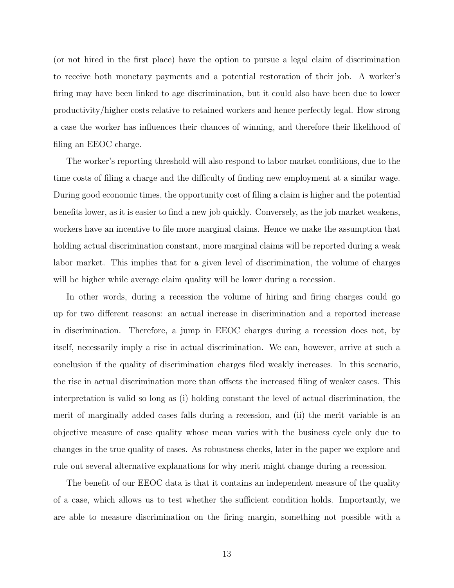(or not hired in the first place) have the option to pursue a legal claim of discrimination to receive both monetary payments and a potential restoration of their job. A worker's firing may have been linked to age discrimination, but it could also have been due to lower productivity/higher costs relative to retained workers and hence perfectly legal. How strong a case the worker has influences their chances of winning, and therefore their likelihood of filing an EEOC charge.

The worker's reporting threshold will also respond to labor market conditions, due to the time costs of filing a charge and the difficulty of finding new employment at a similar wage. During good economic times, the opportunity cost of filing a claim is higher and the potential benefits lower, as it is easier to find a new job quickly. Conversely, as the job market weakens, workers have an incentive to file more marginal claims. Hence we make the assumption that holding actual discrimination constant, more marginal claims will be reported during a weak labor market. This implies that for a given level of discrimination, the volume of charges will be higher while average claim quality will be lower during a recession.

In other words, during a recession the volume of hiring and firing charges could go up for two different reasons: an actual increase in discrimination and a reported increase in discrimination. Therefore, a jump in EEOC charges during a recession does not, by itself, necessarily imply a rise in actual discrimination. We can, however, arrive at such a conclusion if the quality of discrimination charges filed weakly increases. In this scenario, the rise in actual discrimination more than offsets the increased filing of weaker cases. This interpretation is valid so long as (i) holding constant the level of actual discrimination, the merit of marginally added cases falls during a recession, and (ii) the merit variable is an objective measure of case quality whose mean varies with the business cycle only due to changes in the true quality of cases. As robustness checks, later in the paper we explore and rule out several alternative explanations for why merit might change during a recession.

The benefit of our EEOC data is that it contains an independent measure of the quality of a case, which allows us to test whether the sufficient condition holds. Importantly, we are able to measure discrimination on the firing margin, something not possible with a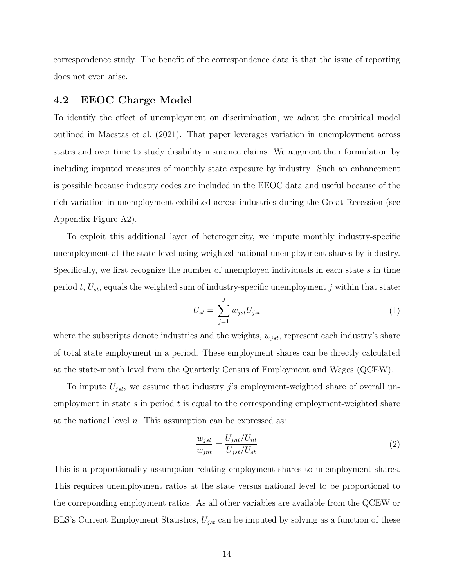correspondence study. The benefit of the correspondence data is that the issue of reporting does not even arise.

#### 4.2 EEOC Charge Model

To identify the effect of unemployment on discrimination, we adapt the empirical model outlined in Maestas et al. (2021). That paper leverages variation in unemployment across states and over time to study disability insurance claims. We augment their formulation by including imputed measures of monthly state exposure by industry. Such an enhancement is possible because industry codes are included in the EEOC data and useful because of the rich variation in unemployment exhibited across industries during the Great Recession (see Appendix Figure A2).

To exploit this additional layer of heterogeneity, we impute monthly industry-specific unemployment at the state level using weighted national unemployment shares by industry. Specifically, we first recognize the number of unemployed individuals in each state s in time period t,  $U_{st}$ , equals the weighted sum of industry-specific unemployment j within that state:

$$
U_{st} = \sum_{j=1}^{J} w_{jst} U_{jst} \tag{1}
$$

where the subscripts denote industries and the weights,  $w_{jst}$ , represent each industry's share of total state employment in a period. These employment shares can be directly calculated at the state-month level from the Quarterly Census of Employment and Wages (QCEW).

To impute  $U_{jst}$ , we assume that industry j's employment-weighted share of overall unemployment in state  $s$  in period  $t$  is equal to the corresponding employment-weighted share at the national level  $n$ . This assumption can be expressed as:

$$
\frac{w_{jst}}{w_{jnt}} = \frac{U_{jnt}/U_{nt}}{U_{jst}/U_{st}}
$$
\n<sup>(2)</sup>

This is a proportionality assumption relating employment shares to unemployment shares. This requires unemployment ratios at the state versus national level to be proportional to the correponding employment ratios. As all other variables are available from the QCEW or BLS's Current Employment Statistics,  $U_{jst}$  can be imputed by solving as a function of these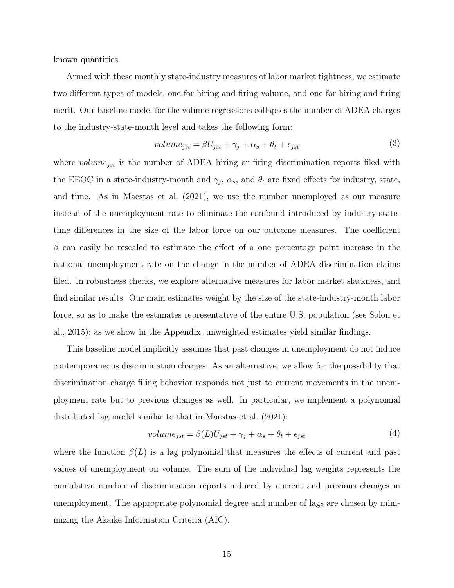known quantities.

Armed with these monthly state-industry measures of labor market tightness, we estimate two different types of models, one for hiring and firing volume, and one for hiring and firing merit. Our baseline model for the volume regressions collapses the number of ADEA charges to the industry-state-month level and takes the following form:

$$
volume_{jst} = \beta U_{jst} + \gamma_j + \alpha_s + \theta_t + \epsilon_{jst}
$$
\n<sup>(3)</sup>

where  $volume_{jst}$  is the number of ADEA hiring or firing discrimination reports filed with the EEOC in a state-industry-month and  $\gamma_j$ ,  $\alpha_s$ , and  $\theta_t$  are fixed effects for industry, state, and time. As in Maestas et al. (2021), we use the number unemployed as our measure instead of the unemployment rate to eliminate the confound introduced by industry-statetime differences in the size of the labor force on our outcome measures. The coefficient  $\beta$  can easily be rescaled to estimate the effect of a one percentage point increase in the national unemployment rate on the change in the number of ADEA discrimination claims filed. In robustness checks, we explore alternative measures for labor market slackness, and find similar results. Our main estimates weight by the size of the state-industry-month labor force, so as to make the estimates representative of the entire U.S. population (see Solon et al., 2015); as we show in the Appendix, unweighted estimates yield similar findings.

This baseline model implicitly assumes that past changes in unemployment do not induce contemporaneous discrimination charges. As an alternative, we allow for the possibility that discrimination charge filing behavior responds not just to current movements in the unemployment rate but to previous changes as well. In particular, we implement a polynomial distributed lag model similar to that in Maestas et al. (2021):

$$
volume_{jst} = \beta(L)U_{jst} + \gamma_j + \alpha_s + \theta_t + \epsilon_{jst}
$$
\n<sup>(4)</sup>

where the function  $\beta(L)$  is a lag polynomial that measures the effects of current and past values of unemployment on volume. The sum of the individual lag weights represents the cumulative number of discrimination reports induced by current and previous changes in unemployment. The appropriate polynomial degree and number of lags are chosen by minimizing the Akaike Information Criteria (AIC).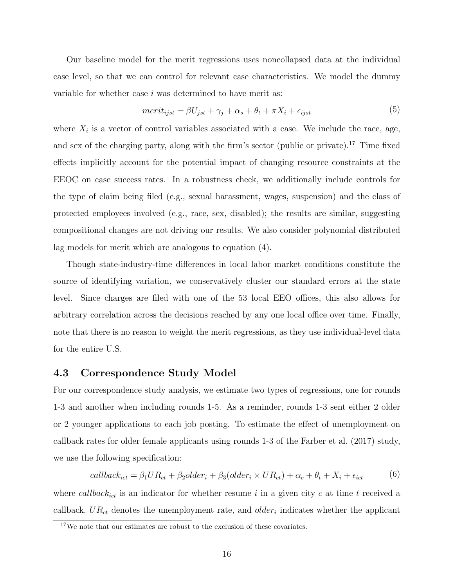Our baseline model for the merit regressions uses noncollapsed data at the individual case level, so that we can control for relevant case characteristics. We model the dummy variable for whether case  $i$  was determined to have merit as:

$$
merit_{ijst} = \beta U_{jst} + \gamma_j + \alpha_s + \theta_t + \pi X_i + \epsilon_{ijst}
$$
\n<sup>(5)</sup>

where  $X_i$  is a vector of control variables associated with a case. We include the race, age, and sex of the charging party, along with the firm's sector (public or private).<sup>17</sup> Time fixed effects implicitly account for the potential impact of changing resource constraints at the EEOC on case success rates. In a robustness check, we additionally include controls for the type of claim being filed (e.g., sexual harassment, wages, suspension) and the class of protected employees involved (e.g., race, sex, disabled); the results are similar, suggesting compositional changes are not driving our results. We also consider polynomial distributed lag models for merit which are analogous to equation (4).

Though state-industry-time differences in local labor market conditions constitute the source of identifying variation, we conservatively cluster our standard errors at the state level. Since charges are filed with one of the 53 local EEO offices, this also allows for arbitrary correlation across the decisions reached by any one local office over time. Finally, note that there is no reason to weight the merit regressions, as they use individual-level data for the entire U.S.

#### 4.3 Correspondence Study Model

For our correspondence study analysis, we estimate two types of regressions, one for rounds 1-3 and another when including rounds 1-5. As a reminder, rounds 1-3 sent either 2 older or 2 younger applications to each job posting. To estimate the effect of unemployment on callback rates for older female applicants using rounds 1-3 of the Farber et al. (2017) study, we use the following specification:

$$
callback_{ict} = \beta_1 U R_{ct} + \beta_2 older_i + \beta_3 (older_i \times UR_{ct}) + \alpha_c + \theta_t + X_i + \epsilon_{ict}
$$
(6)

where callback<sub>ict</sub> is an indicator for whether resume i in a given city c at time t received a callback,  $UR_{ct}$  denotes the unemployment rate, and  $older<sub>i</sub>$  indicates whether the applicant

<sup>17</sup>We note that our estimates are robust to the exclusion of these covariates.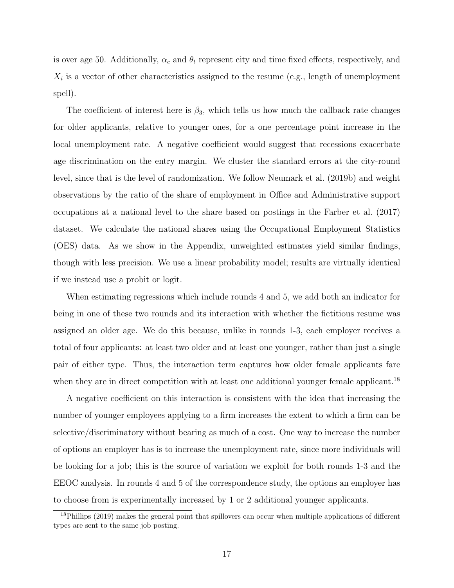is over age 50. Additionally,  $\alpha_c$  and  $\theta_t$  represent city and time fixed effects, respectively, and  $X_i$  is a vector of other characteristics assigned to the resume (e.g., length of unemployment spell).

The coefficient of interest here is  $\beta_3$ , which tells us how much the callback rate changes for older applicants, relative to younger ones, for a one percentage point increase in the local unemployment rate. A negative coefficient would suggest that recessions exacerbate age discrimination on the entry margin. We cluster the standard errors at the city-round level, since that is the level of randomization. We follow Neumark et al. (2019b) and weight observations by the ratio of the share of employment in Office and Administrative support occupations at a national level to the share based on postings in the Farber et al. (2017) dataset. We calculate the national shares using the Occupational Employment Statistics (OES) data. As we show in the Appendix, unweighted estimates yield similar findings, though with less precision. We use a linear probability model; results are virtually identical if we instead use a probit or logit.

When estimating regressions which include rounds 4 and 5, we add both an indicator for being in one of these two rounds and its interaction with whether the fictitious resume was assigned an older age. We do this because, unlike in rounds 1-3, each employer receives a total of four applicants: at least two older and at least one younger, rather than just a single pair of either type. Thus, the interaction term captures how older female applicants fare when they are in direct competition with at least one additional younger female applicant.<sup>18</sup>

A negative coefficient on this interaction is consistent with the idea that increasing the number of younger employees applying to a firm increases the extent to which a firm can be selective/discriminatory without bearing as much of a cost. One way to increase the number of options an employer has is to increase the unemployment rate, since more individuals will be looking for a job; this is the source of variation we exploit for both rounds 1-3 and the EEOC analysis. In rounds 4 and 5 of the correspondence study, the options an employer has to choose from is experimentally increased by 1 or 2 additional younger applicants.

<sup>&</sup>lt;sup>18</sup>Phillips (2019) makes the general point that spillovers can occur when multiple applications of different types are sent to the same job posting.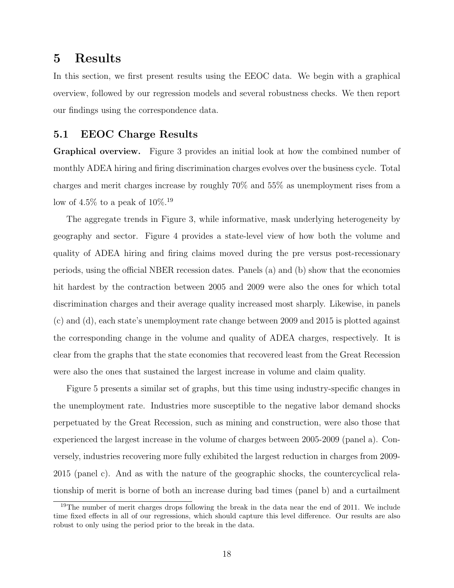## 5 Results

In this section, we first present results using the EEOC data. We begin with a graphical overview, followed by our regression models and several robustness checks. We then report our findings using the correspondence data.

### 5.1 EEOC Charge Results

Graphical overview. Figure 3 provides an initial look at how the combined number of monthly ADEA hiring and firing discrimination charges evolves over the business cycle. Total charges and merit charges increase by roughly 70% and 55% as unemployment rises from a low of 4.5% to a peak of  $10\%.^{19}$ 

The aggregate trends in Figure 3, while informative, mask underlying heterogeneity by geography and sector. Figure 4 provides a state-level view of how both the volume and quality of ADEA hiring and firing claims moved during the pre versus post-recessionary periods, using the official NBER recession dates. Panels (a) and (b) show that the economies hit hardest by the contraction between 2005 and 2009 were also the ones for which total discrimination charges and their average quality increased most sharply. Likewise, in panels (c) and (d), each state's unemployment rate change between 2009 and 2015 is plotted against the corresponding change in the volume and quality of ADEA charges, respectively. It is clear from the graphs that the state economies that recovered least from the Great Recession were also the ones that sustained the largest increase in volume and claim quality.

Figure 5 presents a similar set of graphs, but this time using industry-specific changes in the unemployment rate. Industries more susceptible to the negative labor demand shocks perpetuated by the Great Recession, such as mining and construction, were also those that experienced the largest increase in the volume of charges between 2005-2009 (panel a). Conversely, industries recovering more fully exhibited the largest reduction in charges from 2009- 2015 (panel c). And as with the nature of the geographic shocks, the countercyclical relationship of merit is borne of both an increase during bad times (panel b) and a curtailment

<sup>&</sup>lt;sup>19</sup>The number of merit charges drops following the break in the data near the end of 2011. We include time fixed effects in all of our regressions, which should capture this level difference. Our results are also robust to only using the period prior to the break in the data.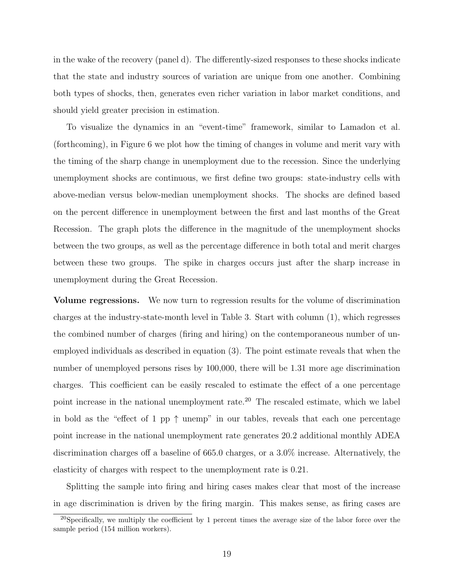in the wake of the recovery (panel d). The differently-sized responses to these shocks indicate that the state and industry sources of variation are unique from one another. Combining both types of shocks, then, generates even richer variation in labor market conditions, and should yield greater precision in estimation.

To visualize the dynamics in an "event-time" framework, similar to Lamadon et al. (forthcoming), in Figure 6 we plot how the timing of changes in volume and merit vary with the timing of the sharp change in unemployment due to the recession. Since the underlying unemployment shocks are continuous, we first define two groups: state-industry cells with above-median versus below-median unemployment shocks. The shocks are defined based on the percent difference in unemployment between the first and last months of the Great Recession. The graph plots the difference in the magnitude of the unemployment shocks between the two groups, as well as the percentage difference in both total and merit charges between these two groups. The spike in charges occurs just after the sharp increase in unemployment during the Great Recession.

Volume regressions. We now turn to regression results for the volume of discrimination charges at the industry-state-month level in Table 3. Start with column (1), which regresses the combined number of charges (firing and hiring) on the contemporaneous number of unemployed individuals as described in equation (3). The point estimate reveals that when the number of unemployed persons rises by 100,000, there will be 1.31 more age discrimination charges. This coefficient can be easily rescaled to estimate the effect of a one percentage point increase in the national unemployment rate.<sup>20</sup> The rescaled estimate, which we label in bold as the "effect of 1 pp  $\uparrow$  unemp" in our tables, reveals that each one percentage point increase in the national unemployment rate generates 20.2 additional monthly ADEA discrimination charges off a baseline of 665.0 charges, or a 3.0% increase. Alternatively, the elasticity of charges with respect to the unemployment rate is 0.21.

Splitting the sample into firing and hiring cases makes clear that most of the increase in age discrimination is driven by the firing margin. This makes sense, as firing cases are

<sup>&</sup>lt;sup>20</sup>Specifically, we multiply the coefficient by 1 percent times the average size of the labor force over the sample period (154 million workers).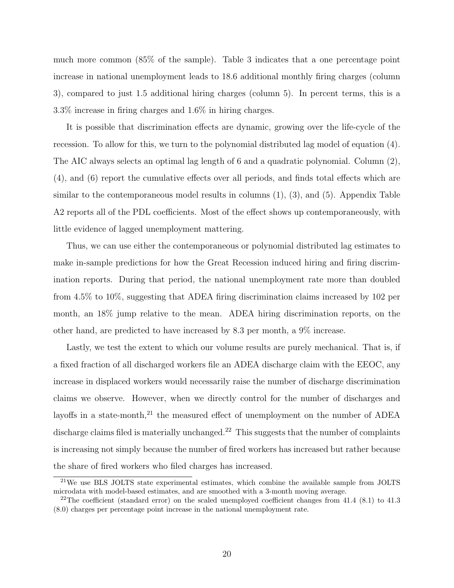much more common (85% of the sample). Table 3 indicates that a one percentage point increase in national unemployment leads to 18.6 additional monthly firing charges (column 3), compared to just 1.5 additional hiring charges (column 5). In percent terms, this is a 3.3% increase in firing charges and 1.6% in hiring charges.

It is possible that discrimination effects are dynamic, growing over the life-cycle of the recession. To allow for this, we turn to the polynomial distributed lag model of equation (4). The AIC always selects an optimal lag length of 6 and a quadratic polynomial. Column (2), (4), and (6) report the cumulative effects over all periods, and finds total effects which are similar to the contemporaneous model results in columns (1), (3), and (5). Appendix Table A2 reports all of the PDL coefficients. Most of the effect shows up contemporaneously, with little evidence of lagged unemployment mattering.

Thus, we can use either the contemporaneous or polynomial distributed lag estimates to make in-sample predictions for how the Great Recession induced hiring and firing discrimination reports. During that period, the national unemployment rate more than doubled from 4.5% to 10%, suggesting that ADEA firing discrimination claims increased by 102 per month, an 18% jump relative to the mean. ADEA hiring discrimination reports, on the other hand, are predicted to have increased by 8.3 per month, a 9% increase.

Lastly, we test the extent to which our volume results are purely mechanical. That is, if a fixed fraction of all discharged workers file an ADEA discharge claim with the EEOC, any increase in displaced workers would necessarily raise the number of discharge discrimination claims we observe. However, when we directly control for the number of discharges and layoffs in a state-month, $^{21}$  the measured effect of unemployment on the number of ADEA discharge claims filed is materially unchanged.<sup>22</sup> This suggests that the number of complaints is increasing not simply because the number of fired workers has increased but rather because the share of fired workers who filed charges has increased.

 $^{21}$ We use BLS JOLTS state experimental estimates, which combine the available sample from JOLTS microdata with model-based estimates, and are smoothed with a 3-month moving average.

 $22$ The coefficient (standard error) on the scaled unemployed coefficient changes from 41.4 (8.1) to 41.3 (8.0) charges per percentage point increase in the national unemployment rate.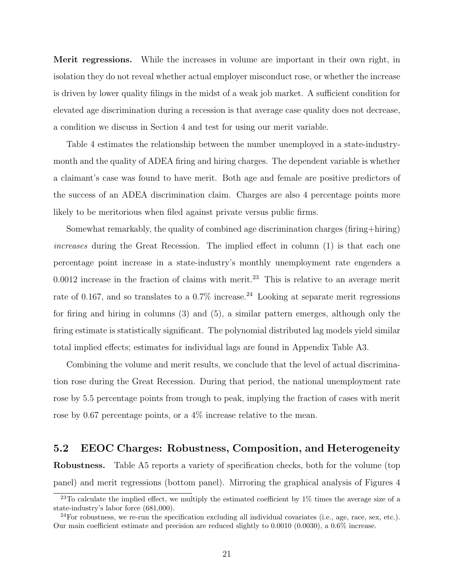Merit regressions. While the increases in volume are important in their own right, in isolation they do not reveal whether actual employer misconduct rose, or whether the increase is driven by lower quality filings in the midst of a weak job market. A sufficient condition for elevated age discrimination during a recession is that average case quality does not decrease, a condition we discuss in Section 4 and test for using our merit variable.

Table 4 estimates the relationship between the number unemployed in a state-industrymonth and the quality of ADEA firing and hiring charges. The dependent variable is whether a claimant's case was found to have merit. Both age and female are positive predictors of the success of an ADEA discrimination claim. Charges are also 4 percentage points more likely to be meritorious when filed against private versus public firms.

Somewhat remarkably, the quality of combined age discrimination charges (firing+hiring) increases during the Great Recession. The implied effect in column (1) is that each one percentage point increase in a state-industry's monthly unemployment rate engenders a  $0.0012$  increase in the fraction of claims with merit.<sup>23</sup> This is relative to an average merit rate of 0.167, and so translates to a  $0.7\%$  increase.<sup>24</sup> Looking at separate merit regressions for firing and hiring in columns (3) and (5), a similar pattern emerges, although only the firing estimate is statistically significant. The polynomial distributed lag models yield similar total implied effects; estimates for individual lags are found in Appendix Table A3.

Combining the volume and merit results, we conclude that the level of actual discrimination rose during the Great Recession. During that period, the national unemployment rate rose by 5.5 percentage points from trough to peak, implying the fraction of cases with merit rose by 0.67 percentage points, or a 4% increase relative to the mean.

### 5.2 EEOC Charges: Robustness, Composition, and Heterogeneity

Robustness. Table A5 reports a variety of specification checks, both for the volume (top panel) and merit regressions (bottom panel). Mirroring the graphical analysis of Figures 4

<sup>&</sup>lt;sup>23</sup>To calculate the implied effect, we multiply the estimated coefficient by  $1\%$  times the average size of a state-industry's labor force (681,000).

 $^{24}$ For robustness, we re-run the specification excluding all individual covariates (i.e., age, race, sex, etc.). Our main coefficient estimate and precision are reduced slightly to 0.0010 (0.0030), a 0.6% increase.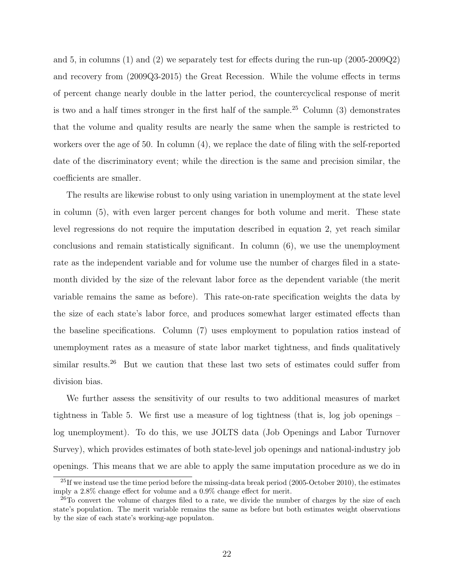and 5, in columns (1) and (2) we separately test for effects during the run-up (2005-2009Q2) and recovery from (2009Q3-2015) the Great Recession. While the volume effects in terms of percent change nearly double in the latter period, the countercyclical response of merit is two and a half times stronger in the first half of the sample.<sup>25</sup> Column  $(3)$  demonstrates that the volume and quality results are nearly the same when the sample is restricted to workers over the age of 50. In column (4), we replace the date of filing with the self-reported date of the discriminatory event; while the direction is the same and precision similar, the coefficients are smaller.

The results are likewise robust to only using variation in unemployment at the state level in column (5), with even larger percent changes for both volume and merit. These state level regressions do not require the imputation described in equation 2, yet reach similar conclusions and remain statistically significant. In column (6), we use the unemployment rate as the independent variable and for volume use the number of charges filed in a statemonth divided by the size of the relevant labor force as the dependent variable (the merit variable remains the same as before). This rate-on-rate specification weights the data by the size of each state's labor force, and produces somewhat larger estimated effects than the baseline specifications. Column (7) uses employment to population ratios instead of unemployment rates as a measure of state labor market tightness, and finds qualitatively similar results.<sup>26</sup> But we caution that these last two sets of estimates could suffer from division bias.

We further assess the sensitivity of our results to two additional measures of market tightness in Table 5. We first use a measure of log tightness (that is, log job openings – log unemployment). To do this, we use JOLTS data (Job Openings and Labor Turnover Survey), which provides estimates of both state-level job openings and national-industry job openings. This means that we are able to apply the same imputation procedure as we do in

 $^{25}$ If we instead use the time period before the missing-data break period (2005-October 2010), the estimates imply a 2.8% change effect for volume and a 0.9% change effect for merit.

 $^{26}$ To convert the volume of charges filed to a rate, we divide the number of charges by the size of each state's population. The merit variable remains the same as before but both estimates weight observations by the size of each state's working-age populaton.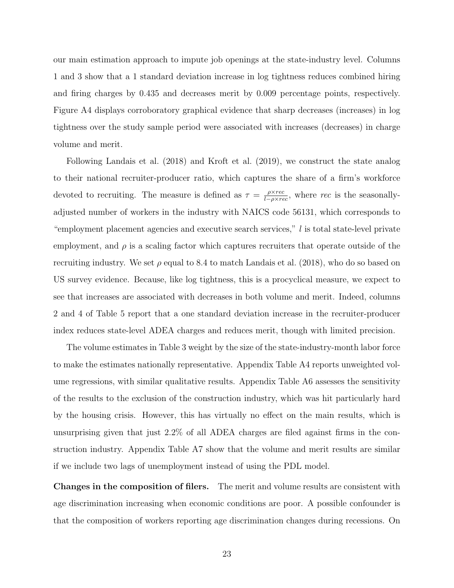our main estimation approach to impute job openings at the state-industry level. Columns 1 and 3 show that a 1 standard deviation increase in log tightness reduces combined hiring and firing charges by 0.435 and decreases merit by 0.009 percentage points, respectively. Figure A4 displays corroboratory graphical evidence that sharp decreases (increases) in log tightness over the study sample period were associated with increases (decreases) in charge volume and merit.

Following Landais et al. (2018) and Kroft et al. (2019), we construct the state analog to their national recruiter-producer ratio, which captures the share of a firm's workforce devoted to recruiting. The measure is defined as  $\tau = \frac{\rho \times rec}{L - \rho \times mc}$  $\frac{\rho \times rec}{l-\rho \times rec}$ , where rec is the seasonallyadjusted number of workers in the industry with NAICS code 56131, which corresponds to "employment placement agencies and executive search services," l is total state-level private employment, and  $\rho$  is a scaling factor which captures recruiters that operate outside of the recruiting industry. We set  $\rho$  equal to 8.4 to match Landais et al. (2018), who do so based on US survey evidence. Because, like log tightness, this is a procyclical measure, we expect to see that increases are associated with decreases in both volume and merit. Indeed, columns 2 and 4 of Table 5 report that a one standard deviation increase in the recruiter-producer index reduces state-level ADEA charges and reduces merit, though with limited precision.

The volume estimates in Table 3 weight by the size of the state-industry-month labor force to make the estimates nationally representative. Appendix Table A4 reports unweighted volume regressions, with similar qualitative results. Appendix Table A6 assesses the sensitivity of the results to the exclusion of the construction industry, which was hit particularly hard by the housing crisis. However, this has virtually no effect on the main results, which is unsurprising given that just 2.2% of all ADEA charges are filed against firms in the construction industry. Appendix Table A7 show that the volume and merit results are similar if we include two lags of unemployment instead of using the PDL model.

Changes in the composition of filers. The merit and volume results are consistent with age discrimination increasing when economic conditions are poor. A possible confounder is that the composition of workers reporting age discrimination changes during recessions. On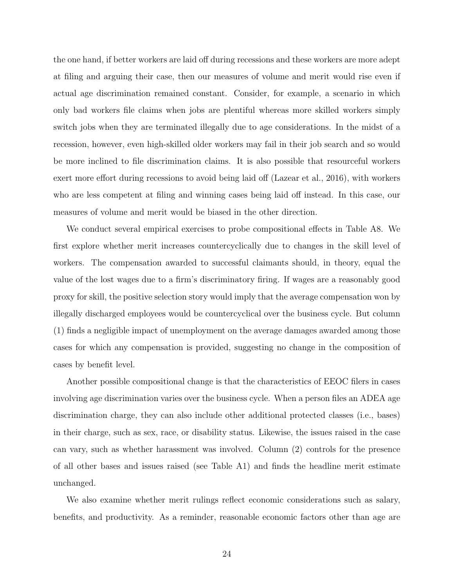the one hand, if better workers are laid off during recessions and these workers are more adept at filing and arguing their case, then our measures of volume and merit would rise even if actual age discrimination remained constant. Consider, for example, a scenario in which only bad workers file claims when jobs are plentiful whereas more skilled workers simply switch jobs when they are terminated illegally due to age considerations. In the midst of a recession, however, even high-skilled older workers may fail in their job search and so would be more inclined to file discrimination claims. It is also possible that resourceful workers exert more effort during recessions to avoid being laid off (Lazear et al., 2016), with workers who are less competent at filing and winning cases being laid off instead. In this case, our measures of volume and merit would be biased in the other direction.

We conduct several empirical exercises to probe compositional effects in Table A8. We first explore whether merit increases countercyclically due to changes in the skill level of workers. The compensation awarded to successful claimants should, in theory, equal the value of the lost wages due to a firm's discriminatory firing. If wages are a reasonably good proxy for skill, the positive selection story would imply that the average compensation won by illegally discharged employees would be countercyclical over the business cycle. But column (1) finds a negligible impact of unemployment on the average damages awarded among those cases for which any compensation is provided, suggesting no change in the composition of cases by benefit level.

Another possible compositional change is that the characteristics of EEOC filers in cases involving age discrimination varies over the business cycle. When a person files an ADEA age discrimination charge, they can also include other additional protected classes (i.e., bases) in their charge, such as sex, race, or disability status. Likewise, the issues raised in the case can vary, such as whether harassment was involved. Column (2) controls for the presence of all other bases and issues raised (see Table A1) and finds the headline merit estimate unchanged.

We also examine whether merit rulings reflect economic considerations such as salary, benefits, and productivity. As a reminder, reasonable economic factors other than age are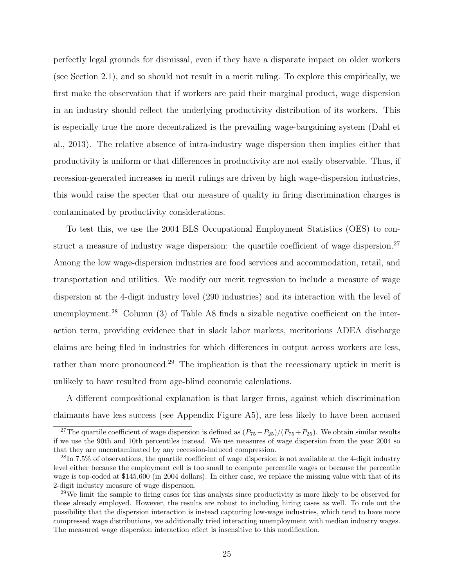perfectly legal grounds for dismissal, even if they have a disparate impact on older workers (see Section 2.1), and so should not result in a merit ruling. To explore this empirically, we first make the observation that if workers are paid their marginal product, wage dispersion in an industry should reflect the underlying productivity distribution of its workers. This is especially true the more decentralized is the prevailing wage-bargaining system (Dahl et al., 2013). The relative absence of intra-industry wage dispersion then implies either that productivity is uniform or that differences in productivity are not easily observable. Thus, if recession-generated increases in merit rulings are driven by high wage-dispersion industries, this would raise the specter that our measure of quality in firing discrimination charges is contaminated by productivity considerations.

To test this, we use the 2004 BLS Occupational Employment Statistics (OES) to construct a measure of industry wage dispersion: the quartile coefficient of wage dispersion.<sup>27</sup> Among the low wage-dispersion industries are food services and accommodation, retail, and transportation and utilities. We modify our merit regression to include a measure of wage dispersion at the 4-digit industry level (290 industries) and its interaction with the level of unemployment.<sup>28</sup> Column  $(3)$  of Table A8 finds a sizable negative coefficient on the interaction term, providing evidence that in slack labor markets, meritorious ADEA discharge claims are being filed in industries for which differences in output across workers are less, rather than more pronounced.<sup>29</sup> The implication is that the recessionary uptick in merit is unlikely to have resulted from age-blind economic calculations.

A different compositional explanation is that larger firms, against which discrimination claimants have less success (see Appendix Figure A5), are less likely to have been accused

<sup>&</sup>lt;sup>27</sup>The quartile coefficient of wage dispersion is defined as  $(P_{75}-P_{25})/(P_{75}+P_{25})$ . We obtain similar results if we use the 90th and 10th percentiles instead. We use measures of wage dispersion from the year 2004 so that they are uncontaminated by any recession-induced compression.

 $^{28}$ In 7.5% of observations, the quartile coefficient of wage dispersion is not available at the 4-digit industry level either because the employment cell is too small to compute percentile wages or because the percentile wage is top-coded at \$145,600 (in 2004 dollars). In either case, we replace the missing value with that of its 2-digit industry measure of wage dispersion.

<sup>&</sup>lt;sup>29</sup>We limit the sample to firing cases for this analysis since productivity is more likely to be observed for those already employed. However, the results are robust to including hiring cases as well. To rule out the possibility that the dispersion interaction is instead capturing low-wage industries, which tend to have more compressed wage distributions, we additionally tried interacting unemployment with median industry wages. The measured wage dispersion interaction effect is insensitive to this modification.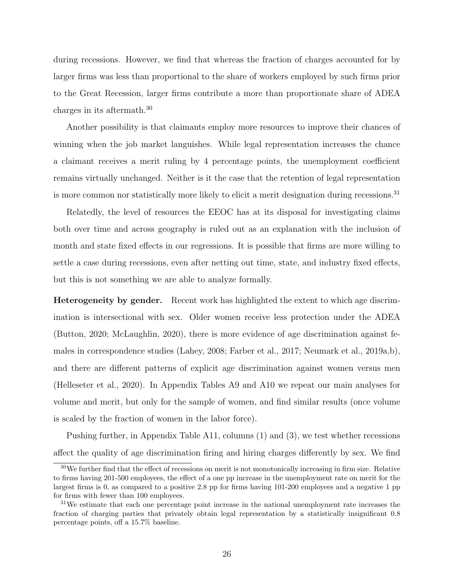during recessions. However, we find that whereas the fraction of charges accounted for by larger firms was less than proportional to the share of workers employed by such firms prior to the Great Recession, larger firms contribute a more than proportionate share of ADEA charges in its aftermath.<sup>30</sup>

Another possibility is that claimants employ more resources to improve their chances of winning when the job market languishes. While legal representation increases the chance a claimant receives a merit ruling by 4 percentage points, the unemployment coefficient remains virtually unchanged. Neither is it the case that the retention of legal representation is more common nor statistically more likely to elicit a merit designation during recessions.<sup>31</sup>

Relatedly, the level of resources the EEOC has at its disposal for investigating claims both over time and across geography is ruled out as an explanation with the inclusion of month and state fixed effects in our regressions. It is possible that firms are more willing to settle a case during recessions, even after netting out time, state, and industry fixed effects, but this is not something we are able to analyze formally.

Heterogeneity by gender. Recent work has highlighted the extent to which age discrimination is intersectional with sex. Older women receive less protection under the ADEA (Button, 2020; McLaughlin, 2020), there is more evidence of age discrimination against females in correspondence studies (Lahey, 2008; Farber et al., 2017; Neumark et al., 2019a,b), and there are different patterns of explicit age discrimination against women versus men (Helleseter et al., 2020). In Appendix Tables A9 and A10 we repeat our main analyses for volume and merit, but only for the sample of women, and find similar results (once volume is scaled by the fraction of women in the labor force).

Pushing further, in Appendix Table A11, columns (1) and (3), we test whether recessions affect the quality of age discrimination firing and hiring charges differently by sex. We find

 $30$ We further find that the effect of recessions on merit is not monotonically increasing in firm size. Relative to firms having 201-500 employees, the effect of a one pp increase in the unemployment rate on merit for the largest firms is 0, as compared to a positive 2.8 pp for firms having 101-200 employees and a negative 1 pp for firms with fewer than 100 employees.

<sup>&</sup>lt;sup>31</sup>We estimate that each one percentage point increase in the national unemployment rate increases the fraction of charging parties that privately obtain legal representation by a statistically insignificant 0.8 percentage points, off a 15.7% baseline.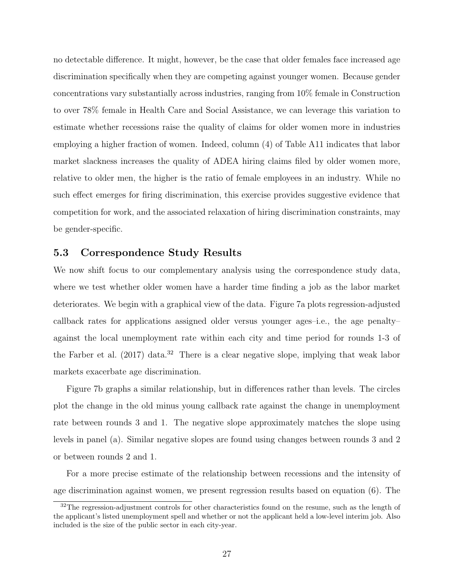no detectable difference. It might, however, be the case that older females face increased age discrimination specifically when they are competing against younger women. Because gender concentrations vary substantially across industries, ranging from 10% female in Construction to over 78% female in Health Care and Social Assistance, we can leverage this variation to estimate whether recessions raise the quality of claims for older women more in industries employing a higher fraction of women. Indeed, column (4) of Table A11 indicates that labor market slackness increases the quality of ADEA hiring claims filed by older women more, relative to older men, the higher is the ratio of female employees in an industry. While no such effect emerges for firing discrimination, this exercise provides suggestive evidence that competition for work, and the associated relaxation of hiring discrimination constraints, may be gender-specific.

### 5.3 Correspondence Study Results

We now shift focus to our complementary analysis using the correspondence study data, where we test whether older women have a harder time finding a job as the labor market deteriorates. We begin with a graphical view of the data. Figure 7a plots regression-adjusted callback rates for applications assigned older versus younger ages–i.e., the age penalty– against the local unemployment rate within each city and time period for rounds 1-3 of the Farber et al.  $(2017)$  data.<sup>32</sup> There is a clear negative slope, implying that weak labor markets exacerbate age discrimination.

Figure 7b graphs a similar relationship, but in differences rather than levels. The circles plot the change in the old minus young callback rate against the change in unemployment rate between rounds 3 and 1. The negative slope approximately matches the slope using levels in panel (a). Similar negative slopes are found using changes between rounds 3 and 2 or between rounds 2 and 1.

For a more precise estimate of the relationship between recessions and the intensity of age discrimination against women, we present regression results based on equation (6). The

 $32$ The regression-adjustment controls for other characteristics found on the resume, such as the length of the applicant's listed unemployment spell and whether or not the applicant held a low-level interim job. Also included is the size of the public sector in each city-year.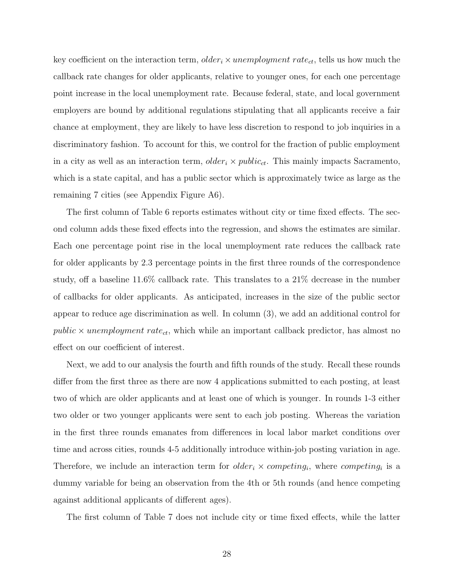key coefficient on the interaction term,  $\delta_{\text{der}_i} \times \text{un employment rate}_{ct}$ , tells us how much the callback rate changes for older applicants, relative to younger ones, for each one percentage point increase in the local unemployment rate. Because federal, state, and local government employers are bound by additional regulations stipulating that all applicants receive a fair chance at employment, they are likely to have less discretion to respond to job inquiries in a discriminatory fashion. To account for this, we control for the fraction of public employment in a city as well as an interaction term,  $older_i \times public_{ct}$ . This mainly impacts Sacramento, which is a state capital, and has a public sector which is approximately twice as large as the remaining 7 cities (see Appendix Figure A6).

The first column of Table 6 reports estimates without city or time fixed effects. The second column adds these fixed effects into the regression, and shows the estimates are similar. Each one percentage point rise in the local unemployment rate reduces the callback rate for older applicants by 2.3 percentage points in the first three rounds of the correspondence study, off a baseline 11.6% callback rate. This translates to a 21% decrease in the number of callbacks for older applicants. As anticipated, increases in the size of the public sector appear to reduce age discrimination as well. In column (3), we add an additional control for public  $\times$  unemployment rate<sub>ct</sub>, which while an important callback predictor, has almost no effect on our coefficient of interest.

Next, we add to our analysis the fourth and fifth rounds of the study. Recall these rounds differ from the first three as there are now 4 applications submitted to each posting, at least two of which are older applicants and at least one of which is younger. In rounds 1-3 either two older or two younger applicants were sent to each job posting. Whereas the variation in the first three rounds emanates from differences in local labor market conditions over time and across cities, rounds 4-5 additionally introduce within-job posting variation in age. Therefore, we include an interaction term for  $older_i \times competing_i$ , where competing<sub>i</sub> is a dummy variable for being an observation from the 4th or 5th rounds (and hence competing against additional applicants of different ages).

The first column of Table 7 does not include city or time fixed effects, while the latter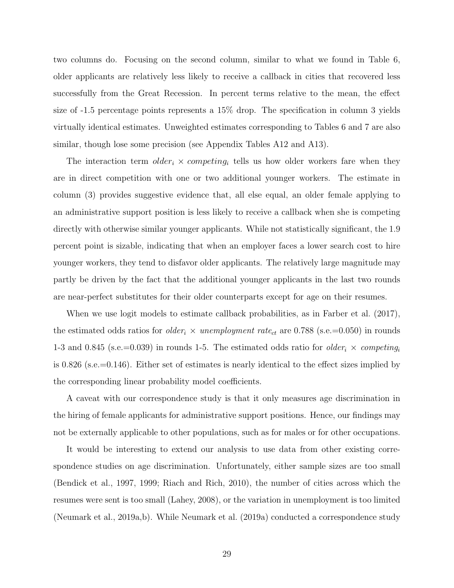two columns do. Focusing on the second column, similar to what we found in Table 6, older applicants are relatively less likely to receive a callback in cities that recovered less successfully from the Great Recession. In percent terms relative to the mean, the effect size of -1.5 percentage points represents a 15% drop. The specification in column 3 yields virtually identical estimates. Unweighted estimates corresponding to Tables 6 and 7 are also similar, though lose some precision (see Appendix Tables A12 and A13).

The interaction term  $older_i \times competing_i$  tells us how older workers fare when they are in direct competition with one or two additional younger workers. The estimate in column (3) provides suggestive evidence that, all else equal, an older female applying to an administrative support position is less likely to receive a callback when she is competing directly with otherwise similar younger applicants. While not statistically significant, the 1.9 percent point is sizable, indicating that when an employer faces a lower search cost to hire younger workers, they tend to disfavor older applicants. The relatively large magnitude may partly be driven by the fact that the additional younger applicants in the last two rounds are near-perfect substitutes for their older counterparts except for age on their resumes.

When we use logit models to estimate callback probabilities, as in Farber et al. (2017), the estimated odds ratios for *older<sub>i</sub>*  $\times$  *unemployment rate<sub>ct</sub>* are 0.788 (s.e.=0.050) in rounds 1-3 and 0.845 (s.e.=0.039) in rounds 1-5. The estimated odds ratio for *older<sub>i</sub>*  $\times$  *competing* is 0.826 (s.e.=0.146). Either set of estimates is nearly identical to the effect sizes implied by the corresponding linear probability model coefficients.

A caveat with our correspondence study is that it only measures age discrimination in the hiring of female applicants for administrative support positions. Hence, our findings may not be externally applicable to other populations, such as for males or for other occupations.

It would be interesting to extend our analysis to use data from other existing correspondence studies on age discrimination. Unfortunately, either sample sizes are too small (Bendick et al., 1997, 1999; Riach and Rich, 2010), the number of cities across which the resumes were sent is too small (Lahey, 2008), or the variation in unemployment is too limited (Neumark et al., 2019a,b). While Neumark et al. (2019a) conducted a correspondence study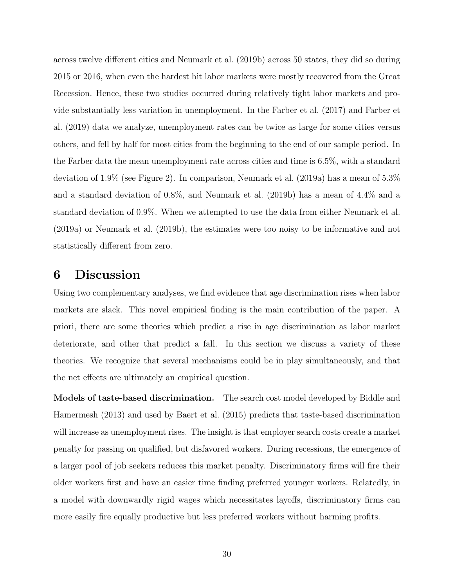across twelve different cities and Neumark et al. (2019b) across 50 states, they did so during 2015 or 2016, when even the hardest hit labor markets were mostly recovered from the Great Recession. Hence, these two studies occurred during relatively tight labor markets and provide substantially less variation in unemployment. In the Farber et al. (2017) and Farber et al. (2019) data we analyze, unemployment rates can be twice as large for some cities versus others, and fell by half for most cities from the beginning to the end of our sample period. In the Farber data the mean unemployment rate across cities and time is 6.5%, with a standard deviation of 1.9% (see Figure 2). In comparison, Neumark et al. (2019a) has a mean of 5.3% and a standard deviation of 0.8%, and Neumark et al. (2019b) has a mean of 4.4% and a standard deviation of 0.9%. When we attempted to use the data from either Neumark et al. (2019a) or Neumark et al. (2019b), the estimates were too noisy to be informative and not statistically different from zero.

# 6 Discussion

Using two complementary analyses, we find evidence that age discrimination rises when labor markets are slack. This novel empirical finding is the main contribution of the paper. A priori, there are some theories which predict a rise in age discrimination as labor market deteriorate, and other that predict a fall. In this section we discuss a variety of these theories. We recognize that several mechanisms could be in play simultaneously, and that the net effects are ultimately an empirical question.

Models of taste-based discrimination. The search cost model developed by Biddle and Hamermesh (2013) and used by Baert et al. (2015) predicts that taste-based discrimination will increase as unemployment rises. The insight is that employer search costs create a market penalty for passing on qualified, but disfavored workers. During recessions, the emergence of a larger pool of job seekers reduces this market penalty. Discriminatory firms will fire their older workers first and have an easier time finding preferred younger workers. Relatedly, in a model with downwardly rigid wages which necessitates layoffs, discriminatory firms can more easily fire equally productive but less preferred workers without harming profits.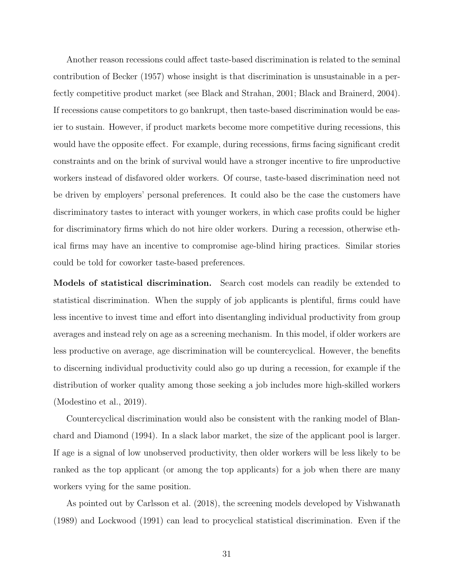Another reason recessions could affect taste-based discrimination is related to the seminal contribution of Becker (1957) whose insight is that discrimination is unsustainable in a perfectly competitive product market (see Black and Strahan, 2001; Black and Brainerd, 2004). If recessions cause competitors to go bankrupt, then taste-based discrimination would be easier to sustain. However, if product markets become more competitive during recessions, this would have the opposite effect. For example, during recessions, firms facing significant credit constraints and on the brink of survival would have a stronger incentive to fire unproductive workers instead of disfavored older workers. Of course, taste-based discrimination need not be driven by employers' personal preferences. It could also be the case the customers have discriminatory tastes to interact with younger workers, in which case profits could be higher for discriminatory firms which do not hire older workers. During a recession, otherwise ethical firms may have an incentive to compromise age-blind hiring practices. Similar stories could be told for coworker taste-based preferences.

Models of statistical discrimination. Search cost models can readily be extended to statistical discrimination. When the supply of job applicants is plentiful, firms could have less incentive to invest time and effort into disentangling individual productivity from group averages and instead rely on age as a screening mechanism. In this model, if older workers are less productive on average, age discrimination will be countercyclical. However, the benefits to discerning individual productivity could also go up during a recession, for example if the distribution of worker quality among those seeking a job includes more high-skilled workers (Modestino et al., 2019).

Countercyclical discrimination would also be consistent with the ranking model of Blanchard and Diamond (1994). In a slack labor market, the size of the applicant pool is larger. If age is a signal of low unobserved productivity, then older workers will be less likely to be ranked as the top applicant (or among the top applicants) for a job when there are many workers vying for the same position.

As pointed out by Carlsson et al. (2018), the screening models developed by Vishwanath (1989) and Lockwood (1991) can lead to procyclical statistical discrimination. Even if the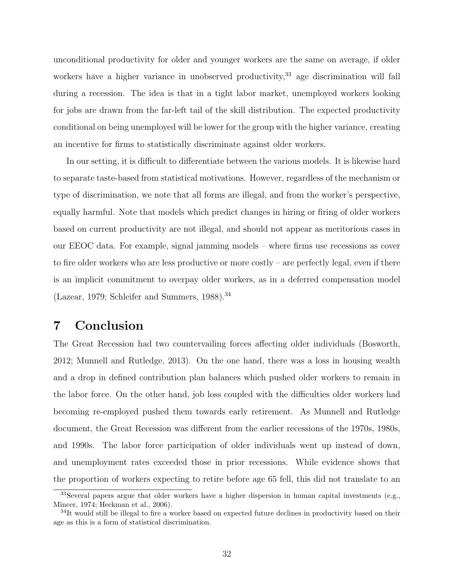unconditional productivity for older and younger workers are the same on average, if older workers have a higher variance in unobserved productivity,  $33$  age discrimination will fall during a recession. The idea is that in a tight labor market, unemployed workers looking for jobs are drawn from the far-left tail of the skill distribution. The expected productivity conditional on being unemployed will be lower for the group with the higher variance, creating an incentive for firms to statistically discriminate against older workers.

In our setting, it is difficult to differentiate between the various models. It is likewise hard to separate taste-based from statistical motivations. However, regardless of the mechanism or type of discrimination, we note that all forms are illegal, and from the worker's perspective, equally harmful. Note that models which predict changes in hiring or firing of older workers based on current productivity are not illegal, and should not appear as meritorious cases in our EEOC data. For example, signal jamming models – where firms use recessions as cover to fire older workers who are less productive or more costly – are perfectly legal, even if there is an implicit commitment to overpay older workers, as in a deferred compensation model (Lazear, 1979; Schleifer and Summers,  $1988$ ).<sup>34</sup>

# 7 Conclusion

The Great Recession had two countervailing forces affecting older individuals (Bosworth, 2012; Munnell and Rutledge, 2013). On the one hand, there was a loss in housing wealth and a drop in defined contribution plan balances which pushed older workers to remain in the labor force. On the other hand, job loss coupled with the difficulties older workers had becoming re-employed pushed them towards early retirement. As Munnell and Rutledge document, the Great Recession was different from the earlier recessions of the 1970s, 1980s, and 1990s. The labor force participation of older individuals went up instead of down, and unemployment rates exceeded those in prior recessions. While evidence shows that the proportion of workers expecting to retire before age 65 fell, this did not translate to an

<sup>&</sup>lt;sup>33</sup>Several papers argue that older workers have a higher dispersion in human capital investments (e.g., Mincer, 1974; Heckman et al., 2006).

<sup>&</sup>lt;sup>34</sup>It would still be illegal to fire a worker based on expected future declines in productivity based on their age as this is a form of statistical discrimination.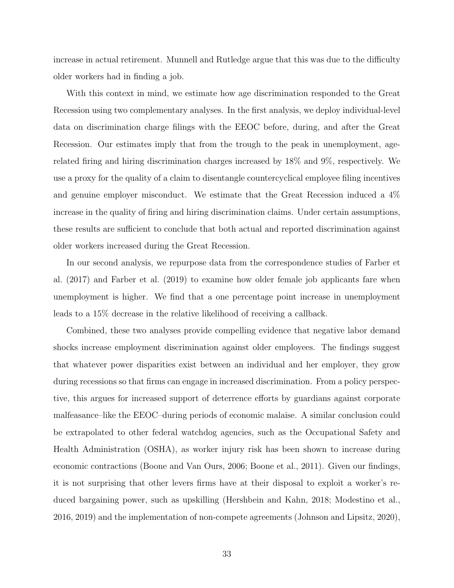increase in actual retirement. Munnell and Rutledge argue that this was due to the difficulty older workers had in finding a job.

With this context in mind, we estimate how age discrimination responded to the Great Recession using two complementary analyses. In the first analysis, we deploy individual-level data on discrimination charge filings with the EEOC before, during, and after the Great Recession. Our estimates imply that from the trough to the peak in unemployment, agerelated firing and hiring discrimination charges increased by 18% and 9%, respectively. We use a proxy for the quality of a claim to disentangle countercyclical employee filing incentives and genuine employer misconduct. We estimate that the Great Recession induced a 4% increase in the quality of firing and hiring discrimination claims. Under certain assumptions, these results are sufficient to conclude that both actual and reported discrimination against older workers increased during the Great Recession.

In our second analysis, we repurpose data from the correspondence studies of Farber et al. (2017) and Farber et al. (2019) to examine how older female job applicants fare when unemployment is higher. We find that a one percentage point increase in unemployment leads to a 15% decrease in the relative likelihood of receiving a callback.

Combined, these two analyses provide compelling evidence that negative labor demand shocks increase employment discrimination against older employees. The findings suggest that whatever power disparities exist between an individual and her employer, they grow during recessions so that firms can engage in increased discrimination. From a policy perspective, this argues for increased support of deterrence efforts by guardians against corporate malfeasance–like the EEOC–during periods of economic malaise. A similar conclusion could be extrapolated to other federal watchdog agencies, such as the Occupational Safety and Health Administration (OSHA), as worker injury risk has been shown to increase during economic contractions (Boone and Van Ours, 2006; Boone et al., 2011). Given our findings, it is not surprising that other levers firms have at their disposal to exploit a worker's reduced bargaining power, such as upskilling (Hershbein and Kahn, 2018; Modestino et al., 2016, 2019) and the implementation of non-compete agreements (Johnson and Lipsitz, 2020),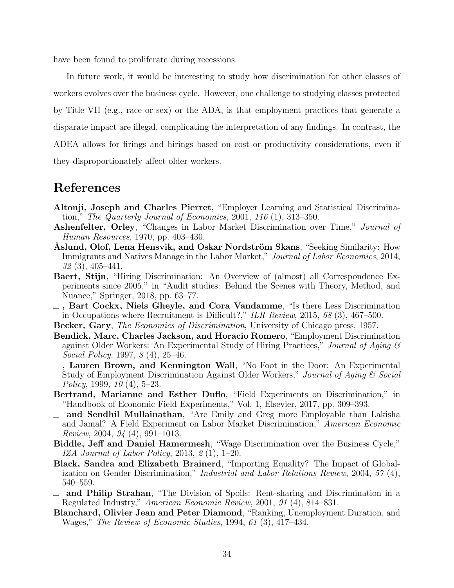have been found to proliferate during recessions.

In future work, it would be interesting to study how discrimination for other classes of workers evolves over the business cycle. However, one challenge to studying classes protected by Title VII (e.g., race or sex) or the ADA, is that employment practices that generate a disparate impact are illegal, complicating the interpretation of any findings. In contrast, the ADEA allows for firings and hirings based on cost or productivity considerations, even if they disproportionately affect older workers.

### References

- Altonji, Joseph and Charles Pierret, "Employer Learning and Statistical Discrimination," The Quarterly Journal of Economics, 2001, 116  $(1)$ , 313–350.
- Ashenfelter, Orley, "Changes in Labor Market Discrimination over Time," Journal of Human Resources, 1970, pp. 403–430.
- Aslund, Olof, Lena Hensvik, and Oskar Nordström Skans, "Seeking Similarity: How Immigrants and Natives Manage in the Labor Market," Journal of Labor Economics, 2014, 32 (3), 405–441.
- Baert, Stijn, "Hiring Discrimination: An Overview of (almost) all Correspondence Experiments since 2005," in "Audit studies: Behind the Scenes with Theory, Method, and Nuance," Springer, 2018, pp. 63–77.
- , Bart Cockx, Niels Gheyle, and Cora Vandamme, "Is there Less Discrimination in Occupations where Recruitment is Difficult?," ILR Review, 2015, 68 (3), 467–500.
- Becker, Gary, The Economics of Discrimination, University of Chicago press, 1957.
- Bendick, Marc, Charles Jackson, and Horacio Romero, "Employment Discrimination against Older Workers: An Experimental Study of Hiring Practices," Journal of Aging  $\mathcal B$ Social Policy, 1997, 8 (4), 25–46.
- , Lauren Brown, and Kennington Wall, "No Foot in the Door: An Experimental Study of Employment Discrimination Against Older Workers," Journal of Aging & Social Policy, 1999, 10 (4), 5–23.
- Bertrand, Marianne and Esther Duflo, "Field Experiments on Discrimination," in "Handbook of Economic Field Experiments," Vol. 1, Elsevier, 2017, pp. 309–393.
- and Sendhil Mullainathan, "Are Emily and Greg more Employable than Lakisha and Jamal? A Field Experiment on Labor Market Discrimination," American Economic Review, 2004, 94 (4), 991–1013.
- Biddle, Jeff and Daniel Hamermesh, "Wage Discrimination over the Business Cycle," IZA Journal of Labor Policy, 2013, 2 (1), 1–20.
- Black, Sandra and Elizabeth Brainerd, "Importing Equality? The Impact of Globalization on Gender Discrimination," Industrial and Labor Relations Review, 2004, 57 (4), 540–559.
- and Philip Strahan, "The Division of Spoils: Rent-sharing and Discrimination in a Regulated Industry," American Economic Review, 2001, 91 (4), 814–831.
- Blanchard, Olivier Jean and Peter Diamond, "Ranking, Unemployment Duration, and Wages," The Review of Economic Studies, 1994, 61 (3), 417–434.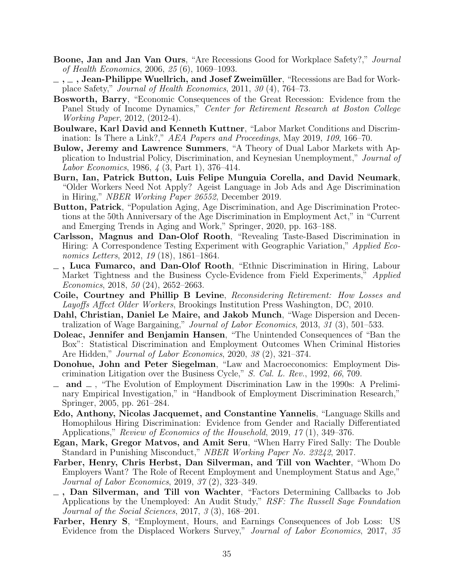- Boone, Jan and Jan Van Ours, "Are Recessions Good for Workplace Safety?," Journal of Health Economics, 2006, 25 (6), 1069–1093.
- $, \ldots, \ldots$ , Jean-Philippe Wuellrich, and Josef Zweimüller, "Recessions are Bad for Workplace Safety," Journal of Health Economics, 2011, 30 (4), 764–73.
- Bosworth, Barry, "Economic Consequences of the Great Recession: Evidence from the Panel Study of Income Dynamics," Center for Retirement Research at Boston College Working Paper, 2012, (2012-4).
- Boulware, Karl David and Kenneth Kuttner, "Labor Market Conditions and Discrimination: Is There a Link?," AEA Papers and Proceedings, May 2019, 109, 166–70.
- Bulow, Jeremy and Lawrence Summers, "A Theory of Dual Labor Markets with Application to Industrial Policy, Discrimination, and Keynesian Unemployment," Journal of Labor Economics, 1986, 4 (3, Part 1), 376–414.
- Burn, Ian, Patrick Button, Luis Felipe Munguia Corella, and David Neumark, "Older Workers Need Not Apply? Ageist Language in Job Ads and Age Discrimination in Hiring," NBER Working Paper 26552, December 2019.
- Button, Patrick, "Population Aging, Age Discrimination, and Age Discrimination Protections at the 50th Anniversary of the Age Discrimination in Employment Act," in "Current and Emerging Trends in Aging and Work," Springer, 2020, pp. 163–188.
- Carlsson, Magnus and Dan-Olof Rooth, "Revealing Taste-Based Discrimination in Hiring: A Correspondence Testing Experiment with Geographic Variation," Applied Economics Letters, 2012, 19 (18), 1861–1864.
- $\overline{\phantom{a}}$ , Luca Fumarco, and Dan-Olof Rooth, "Ethnic Discrimination in Hiring, Labour Market Tightness and the Business Cycle-Evidence from Field Experiments," *Applied* Economics, 2018, 50 (24), 2652–2663.
- Coile, Courtney and Phillip B Levine, Reconsidering Retirement: How Losses and Layoffs Affect Older Workers, Brookings Institution Press Washington, DC, 2010.
- Dahl, Christian, Daniel Le Maire, and Jakob Munch, "Wage Dispersion and Decentralization of Wage Bargaining," Journal of Labor Economics, 2013, 31 (3), 501–533.
- Doleac, Jennifer and Benjamin Hansen, "The Unintended Consequences of "Ban the Box": Statistical Discrimination and Employment Outcomes When Criminal Histories Are Hidden," *Journal of Labor Economics*, 2020, 38 (2), 321–374.
- Donohue, John and Peter Siegelman, "Law and Macroeconomics: Employment Discrimination Litigation over the Business Cycle," S. Cal. L. Rev., 1992, 66, 709.
- $\Box$  and  $\Box$ , "The Evolution of Employment Discrimination Law in the 1990s: A Preliminary Empirical Investigation," in "Handbook of Employment Discrimination Research," Springer, 2005, pp. 261–284.
- Edo, Anthony, Nicolas Jacquemet, and Constantine Yannelis, "Language Skills and Homophilous Hiring Discrimination: Evidence from Gender and Racially Differentiated Applications," Review of Economics of the Household, 2019, 17 (1), 349–376.
- Egan, Mark, Gregor Matvos, and Amit Seru, "When Harry Fired Sally: The Double Standard in Punishing Misconduct," NBER Working Paper No. 23242, 2017.
- Farber, Henry, Chris Herbst, Dan Silverman, and Till von Wachter, "Whom Do Employers Want? The Role of Recent Employment and Unemployment Status and Age," Journal of Labor Economics, 2019, 37 (2), 323–349.
- $-$ , Dan Silverman, and Till von Wachter, "Factors Determining Callbacks to Job Applications by the Unemployed: An Audit Study," RSF: The Russell Sage Foundation Journal of the Social Sciences, 2017, 3 (3), 168–201.
- Farber, Henry S, "Employment, Hours, and Earnings Consequences of Job Loss: US Evidence from the Displaced Workers Survey," Journal of Labor Economics, 2017, 35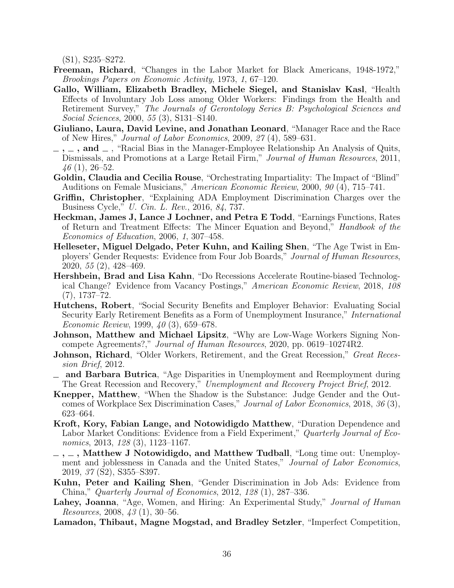(S1), S235–S272.

- Freeman, Richard, "Changes in the Labor Market for Black Americans, 1948-1972," Brookings Papers on Economic Activity, 1973, 1, 67–120.
- Gallo, William, Elizabeth Bradley, Michele Siegel, and Stanislav Kasl, "Health Effects of Involuntary Job Loss among Older Workers: Findings from the Health and Retirement Survey," The Journals of Gerontology Series B: Psychological Sciences and Social Sciences, 2000, 55 (3), S131–S140.
- Giuliano, Laura, David Levine, and Jonathan Leonard, "Manager Race and the Race of New Hires," Journal of Labor Economics, 2009, 27 (4), 589–631.
- $\ldots$ , and  $\ldots$ , "Racial Bias in the Manager-Employee Relationship An Analysis of Quits, Dismissals, and Promotions at a Large Retail Firm," Journal of Human Resources, 2011,  $46(1), 26-52.$
- Goldin, Claudia and Cecilia Rouse, "Orchestrating Impartiality: The Impact of "Blind" Auditions on Female Musicians," American Economic Review, 2000, 90 (4), 715–741.
- Griffin, Christopher, "Explaining ADA Employment Discrimination Charges over the Business Cycle," U. Cin. L. Rev., 2016, 84, 737.
- Heckman, James J, Lance J Lochner, and Petra E Todd, "Earnings Functions, Rates of Return and Treatment Effects: The Mincer Equation and Beyond," Handbook of the Economics of Education, 2006, 1, 307–458.
- Helleseter, Miguel Delgado, Peter Kuhn, and Kailing Shen, "The Age Twist in Employers' Gender Requests: Evidence from Four Job Boards," Journal of Human Resources, 2020, 55 (2), 428–469.
- Hershbein, Brad and Lisa Kahn, "Do Recessions Accelerate Routine-biased Technological Change? Evidence from Vacancy Postings," American Economic Review, 2018, 108 (7), 1737–72.
- Hutchens, Robert, "Social Security Benefits and Employer Behavior: Evaluating Social Security Early Retirement Benefits as a Form of Unemployment Insurance," International Economic Review, 1999, 40 (3), 659–678.
- Johnson, Matthew and Michael Lipsitz, "Why are Low-Wage Workers Signing Noncompete Agreements?," Journal of Human Resources, 2020, pp. 0619–10274R2.
- **Johnson, Richard**, "Older Workers, Retirement, and the Great Recession," Great Recession Brief, 2012.
- and Barbara Butrica, "Age Disparities in Unemployment and Reemployment during The Great Recession and Recovery," Unemployment and Recovery Project Brief, 2012.
- Knepper, Matthew, "When the Shadow is the Substance: Judge Gender and the Outcomes of Workplace Sex Discrimination Cases," Journal of Labor Economics, 2018, 36 (3), 623–664.
- Kroft, Kory, Fabian Lange, and Notowidigdo Matthew, "Duration Dependence and Labor Market Conditions: Evidence from a Field Experiment," Quarterly Journal of Economics, 2013, 128 (3), 1123-1167.
- $\sim$ ,  $\sim$ , Matthew J Notowidigdo, and Matthew Tudball, "Long time out: Unemployment and joblessness in Canada and the United States," Journal of Labor Economics, 2019, 37 (S2), S355–S397.
- Kuhn, Peter and Kailing Shen, "Gender Discrimination in Job Ads: Evidence from China," Quarterly Journal of Economics, 2012, 128 (1), 287–336.
- Lahey, Joanna, "Age, Women, and Hiring: An Experimental Study," Journal of Human Resources, 2008, 43 (1), 30–56.
- Lamadon, Thibaut, Magne Mogstad, and Bradley Setzler, "Imperfect Competition,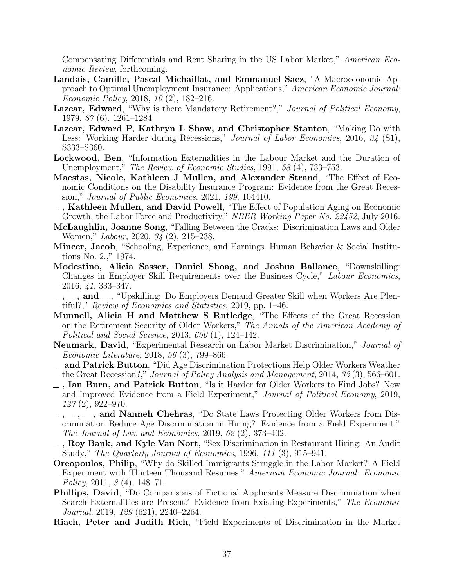Compensating Differentials and Rent Sharing in the US Labor Market," American Economic Review, forthcoming.

- Landais, Camille, Pascal Michaillat, and Emmanuel Saez, "A Macroeconomic Approach to Optimal Unemployment Insurance: Applications," American Economic Journal: Economic Policy, 2018, 10 (2), 182–216.
- Lazear, Edward, "Why is there Mandatory Retirement?," Journal of Political Economy, 1979, 87 (6), 1261–1284.
- Lazear, Edward P, Kathryn L Shaw, and Christopher Stanton, "Making Do with Less: Working Harder during Recessions," Journal of Labor Economics, 2016, 34 (S1), S333–S360.
- Lockwood, Ben, "Information Externalities in the Labour Market and the Duration of Unemployment," The Review of Economic Studies, 1991, 58 (4), 733–753.
- Maestas, Nicole, Kathleen J Mullen, and Alexander Strand, "The Effect of Economic Conditions on the Disability Insurance Program: Evidence from the Great Recession," Journal of Public Economics, 2021, 199, 104410.
- $\overline{\phantom{a}}$ , Kathleen Mullen, and David Powell, "The Effect of Population Aging on Economic Growth, the Labor Force and Productivity," NBER Working Paper No. 22452, July 2016.
- McLaughlin, Joanne Song, "Falling Between the Cracks: Discrimination Laws and Older Women," Labour, 2020, 34 (2), 215–238.
- Mincer, Jacob, "Schooling, Experience, and Earnings. Human Behavior & Social Institutions No. 2.," 1974.
- Modestino, Alicia Sasser, Daniel Shoag, and Joshua Ballance, "Downskilling: Changes in Employer Skill Requirements over the Business Cycle," Labour Economics, 2016, 41, 333–347.
- $\ldots$ ,  $\ldots$ , and  $\ldots$ , "Upskilling: Do Employers Demand Greater Skill when Workers Are Plentiful?," Review of Economics and Statistics, 2019, pp. 1–46.
- Munnell, Alicia H and Matthew S Rutledge, "The Effects of the Great Recession on the Retirement Security of Older Workers," The Annals of the American Academy of Political and Social Science, 2013, 650 (1), 124–142.
- Neumark, David, "Experimental Research on Labor Market Discrimination," Journal of Economic Literature, 2018, 56 (3), 799–866.
- and Patrick Button, "Did Age Discrimination Protections Help Older Workers Weather the Great Recession?," Journal of Policy Analysis and Management, 2014, 33 (3), 566–601.
- , Ian Burn, and Patrick Button, "Is it Harder for Older Workers to Find Jobs? New and Improved Evidence from a Field Experiment," Journal of Political Economy, 2019, 127 (2), 922–970.
- $-$ ,  $-$ ,  $-$ ,  $-$ , and Nanneh Chehras, "Do State Laws Protecting Older Workers from Discrimination Reduce Age Discrimination in Hiring? Evidence from a Field Experiment," The Journal of Law and Economics, 2019, 62 (2), 373–402.
- $_$ , Roy Bank, and Kyle Van Nort, "Sex Discrimination in Restaurant Hiring: An Audit Study," The Quarterly Journal of Economics, 1996, 111 (3), 915–941.
- Oreopoulos, Philip, "Why do Skilled Immigrants Struggle in the Labor Market? A Field Experiment with Thirteen Thousand Resumes," American Economic Journal: Economic Policy, 2011, 3 (4), 148–71.
- Phillips, David, "Do Comparisons of Fictional Applicants Measure Discrimination when Search Externalities are Present? Evidence from Existing Experiments," The Economic Journal, 2019, 129 (621), 2240–2264.
- Riach, Peter and Judith Rich, "Field Experiments of Discrimination in the Market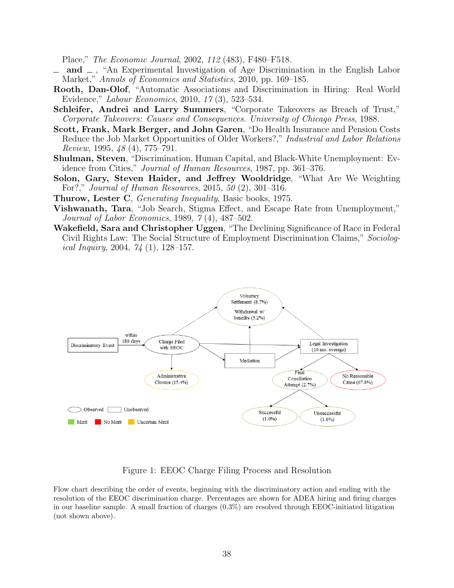Place," The Economic Journal, 2002, 112 (483), F480–F518.

- and  $\Box$ , "An Experimental Investigation of Age Discrimination in the English Labor Market," Annals of Economics and Statistics, 2010, pp. 169–185.
- Rooth, Dan-Olof, "Automatic Associations and Discrimination in Hiring: Real World Evidence," Labour Economics, 2010, 17 (3), 523–534.
- Schleifer, Andrei and Larry Summers, "Corporate Takeovers as Breach of Trust," Corporate Takeovers: Causes and Consequences. University of Chicago Press, 1988.
- Scott, Frank, Mark Berger, and John Garen, "Do Health Insurance and Pension Costs Reduce the Job Market Opportunities of Older Workers?," Industrial and Labor Relations Review, 1995, 48 (4), 775–791.
- Shulman, Steven, "Discrimination, Human Capital, and Black-White Unemployment: Evidence from Cities," Journal of Human Resources, 1987, pp. 361–376.
- Solon, Gary, Steven Haider, and Jeffrey Wooldridge, "What Are We Weighting For?," Journal of Human Resources, 2015, 50 (2), 301–316.
- Thurow, Lester C, *Generating Inequality*, Basic books, 1975.
- Vishwanath, Tara, "Job Search, Stigma Effect, and Escape Rate from Unemployment," Journal of Labor Economics, 1989, 7 (4), 487–502.
- Wakefield, Sara and Christopher Uggen, "The Declining Significance of Race in Federal Civil Rights Law: The Social Structure of Employment Discrimination Claims," Sociological Inquiry, 2004, 74 (1), 128–157.



#### Figure 1: EEOC Charge Filing Process and Resolution

Flow chart describing the order of events, beginning with the discriminatory action and ending with the resolution of the EEOC discrimination charge. Percentages are shown for ADEA hiring and firing charges in our baseline sample. A small fraction of charges  $(0.3\%)$  are resolved through EEOC-initiated litigation (not shown above).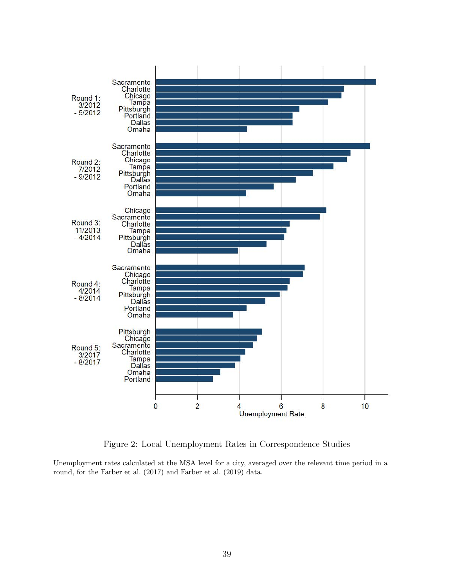

Figure 2: Local Unemployment Rates in Correspondence Studies

Unemployment rates calculated at the MSA level for a city, averaged over the relevant time period in a round, for the Farber et al. (2017) and Farber et al. (2019) data.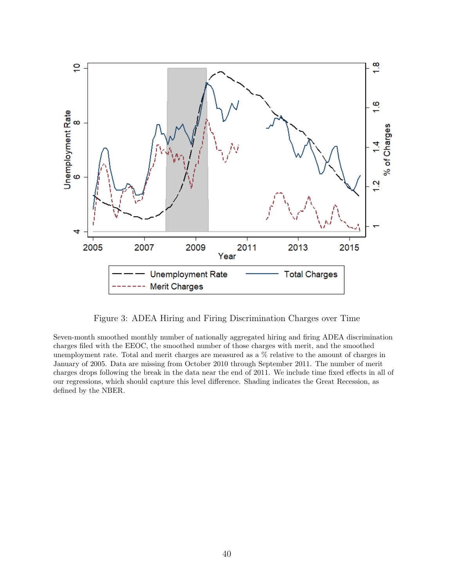

Figure 3: ADEA Hiring and Firing Discrimination Charges over Time

Seven-month smoothed monthly number of nationally aggregated hiring and firing ADEA discrimination charges filed with the EEOC, the smoothed number of those charges with merit, and the smoothed unemployment rate. Total and merit charges are measured as a % relative to the amount of charges in January of 2005. Data are missing from October 2010 through September 2011. The number of merit charges drops following the break in the data near the end of 2011. We include time fixed effects in all of our regressions, which should capture this level difference. Shading indicates the Great Recession, as defined by the NBER.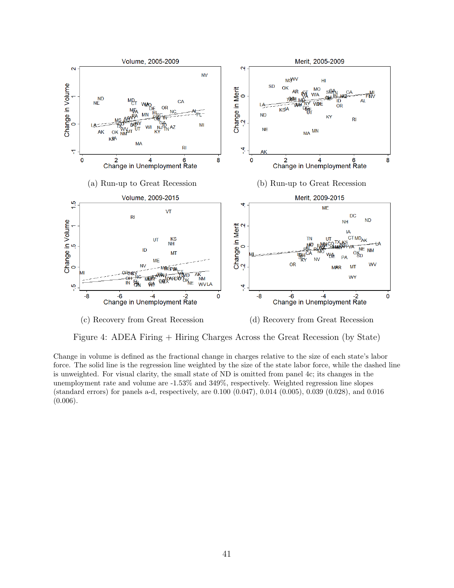

Figure 4: ADEA Firing + Hiring Charges Across the Great Recession (by State)

Change in volume is defined as the fractional change in charges relative to the size of each state's labor force. The solid line is the regression line weighted by the size of the state labor force, while the dashed line is unweighted. For visual clarity, the small state of ND is omitted from panel 4c; its changes in the unemployment rate and volume are -1.53% and 349%, respectively. Weighted regression line slopes (standard errors) for panels a-d, respectively, are 0.100 (0.047), 0.014 (0.005), 0.039 (0.028), and 0.016 (0.006).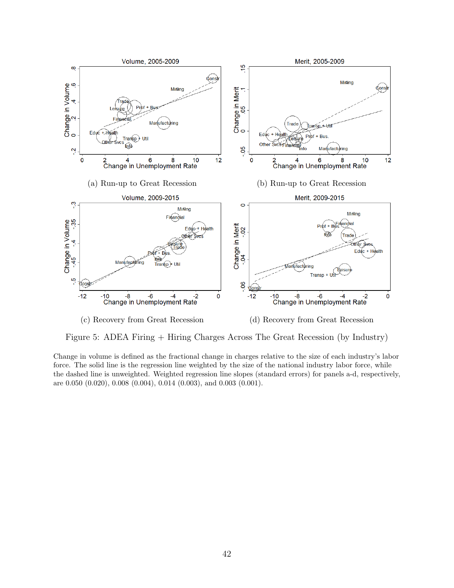

Figure 5: ADEA Firing + Hiring Charges Across The Great Recession (by Industry)

Change in volume is defined as the fractional change in charges relative to the size of each industry's labor force. The solid line is the regression line weighted by the size of the national industry labor force, while the dashed line is unweighted. Weighted regression line slopes (standard errors) for panels a-d, respectively, are 0.050 (0.020), 0.008 (0.004), 0.014 (0.003), and 0.003 (0.001).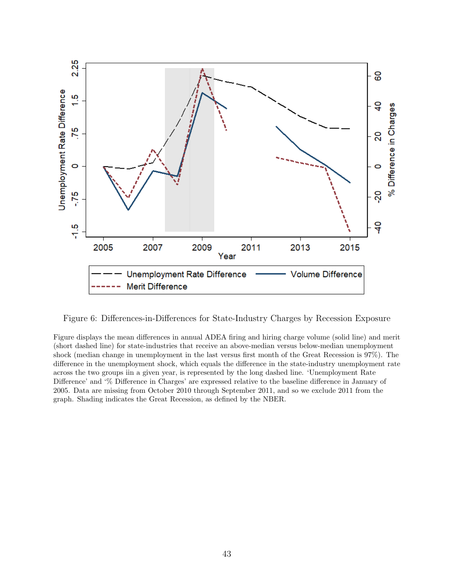

Figure 6: Differences-in-Differences for State-Industry Charges by Recession Exposure

Figure displays the mean differences in annual ADEA firing and hiring charge volume (solid line) and merit (short dashed line) for state-industries that receive an above-median versus below-median unemployment shock (median change in unemployment in the last versus first month of the Great Recession is 97%). The difference in the unemployment shock, which equals the difference in the state-industry unemployment rate across the two groups iin a given year, is represented by the long dashed line. 'Unemployment Rate Difference' and '% Difference in Charges' are expressed relative to the baseline difference in January of 2005. Data are missing from October 2010 through September 2011, and so we exclude 2011 from the graph. Shading indicates the Great Recession, as defined by the NBER.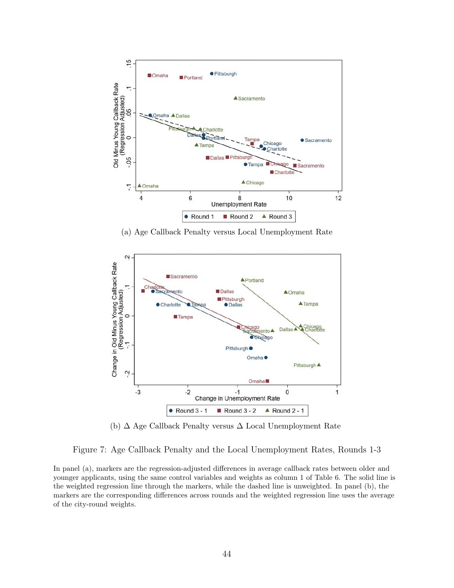

(a) Age Callback Penalty versus Local Unemployment Rate



(b) ∆ Age Callback Penalty versus ∆ Local Unemployment Rate

Figure 7: Age Callback Penalty and the Local Unemployment Rates, Rounds 1-3

In panel (a), markers are the regression-adjusted differences in average callback rates between older and younger applicants, using the same control variables and weights as column 1 of Table 6. The solid line is the weighted regression line through the markers, while the dashed line is unweighted. In panel (b), the markers are the corresponding differences across rounds and the weighted regression line uses the average of the city-round weights.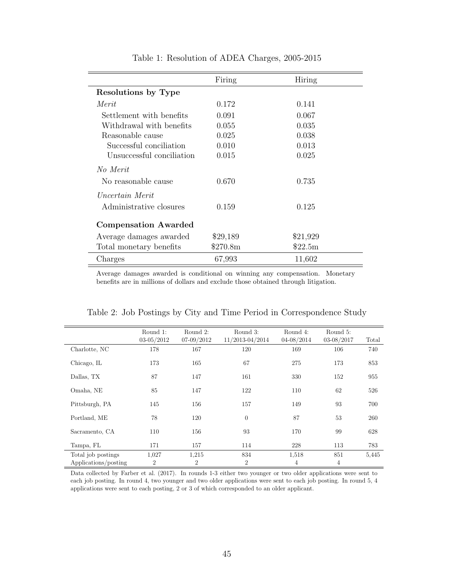|                             | Firing   | Hiring   |
|-----------------------------|----------|----------|
| Resolutions by Type         |          |          |
| Merit                       | 0.172    | 0.141    |
| Settlement with benefits    | 0.091    | 0.067    |
| Withdrawal with benefits    | 0.055    | 0.035    |
| Reasonable cause            | 0.025    | 0.038    |
| Successful conciliation     | 0.010    | 0.013    |
| Unsuccessful conciliation   | 0.015    | 0.025    |
| No Merit                    |          |          |
| No reasonable cause         | 0.670    | 0.735    |
| Uncertain Merit             |          |          |
| Administrative closures     | 0.159    | 0.125    |
| <b>Compensation Awarded</b> |          |          |
| Average damages awarded     | \$29,189 | \$21,929 |
| Total monetary benefits     | \$270.8m | \$22.5m  |
| Charges                     | 67,993   | 11,602   |

Table 1: Resolution of ADEA Charges, 2005-2015

Average damages awarded is conditional on winning any compensation. Monetary benefits are in millions of dollars and exclude those obtained through litigation.

|                      | Round 1:       | Round 2:       | Round 3:        | Round 4:   | Round 5:       |       |
|----------------------|----------------|----------------|-----------------|------------|----------------|-------|
|                      | $03 - 05/2012$ | $07-09/2012$   | 11/2013-04/2014 | 04-08/2014 | $03 - 08/2017$ | Total |
| Charlotte, NC        | 178            | 167            | 120             | 169        | 106            | 740   |
| Chicago, IL          | 173            | 165            | 67              | 275        | 173            | 853   |
| Dallas, TX           | 87             | 147            | 161             | 330        | 152            | 955   |
| Omaha, NE            | 85             | 147            | 122             | 110        | 62             | 526   |
| Pittsburgh, PA       | 145            | 156            | 157             | 149        | 93             | 700   |
| Portland, ME         | 78             | 120            | $\theta$        | 87         | 53             | 260   |
| Sacramento, CA       | 110            | 156            | 93              | 170        | 99             | 628   |
| Tampa, FL            | 171            | 157            | 114             | 228        | 113            | 783   |
| Total job postings   | 1,027          | 1,215          | 834             | 1,518      | 851            | 5,445 |
| Applications/posting | $\overline{2}$ | $\overline{2}$ | $\overline{2}$  | 4          | 4              |       |

Table 2: Job Postings by City and Time Period in Correspondence Study

Data collected by Farber et al. (2017). In rounds 1-3 either two younger or two older applications were sent to each job posting. In round 4, two younger and two older applications were sent to each job posting. In round 5, 4 applications were sent to each posting, 2 or 3 of which corresponded to an older applicant.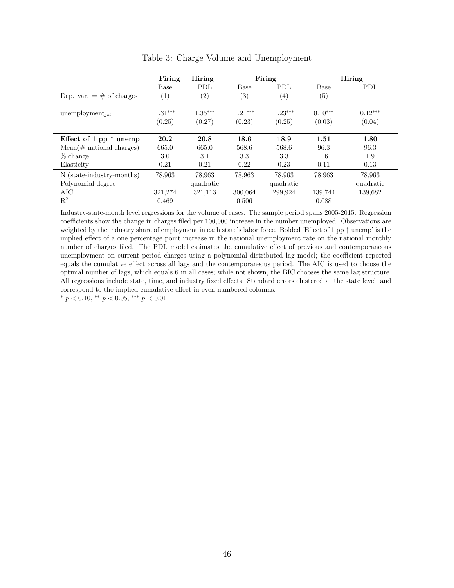|                                                | $Firing + Hiring$   |                     | Firing              |                     |                     | <b>Hiring</b>       |
|------------------------------------------------|---------------------|---------------------|---------------------|---------------------|---------------------|---------------------|
|                                                | Base                | <b>PDL</b>          | Base                | PDL                 | Base                | PDL                 |
| Dep. var. $=$ # of charges                     | $\left(1\right)$    | (2)                 | (3)                 | $\left( 4\right)$   | (5)                 |                     |
| unemployment <sub>ist</sub>                    | $1.31***$<br>(0.25) | $1.35***$<br>(0.27) | $1.21***$<br>(0.23) | $1.23***$<br>(0.25) | $0.10***$<br>(0.03) | $0.12***$<br>(0.04) |
| Effect of 1 pp $\uparrow$ unemp                | 20.2                | 20.8                | 18.6                | 18.9                | 1.51                | 1.80                |
| $Mean(\#$ national charges)                    | 665.0               | 665.0               | 568.6               | 568.6               | 96.3                | 96.3                |
| $%$ change                                     | 3.0                 | 3.1                 | 3.3                 | 3.3                 | 1.6                 | 1.9                 |
| Elasticity                                     | 0.21                | 0.21                | 0.22                | 0.23                | 0.11                | 0.13                |
| N (state-industry-months)<br>Polynomial degree | 78,963              | 78,963<br>quadratic | 78,963              | 78,963<br>quadratic | 78,963              | 78,963<br>quadratic |
| AIC                                            | 321,274             | 321,113             | 300,064             | 299,924             | 139,744             | 139,682             |
| $R^2$                                          | 0.469               |                     | 0.506               |                     | 0.088               |                     |

Table 3: Charge Volume and Unemployment

Industry-state-month level regressions for the volume of cases. The sample period spans 2005-2015. Regression coefficients show the change in charges filed per 100,000 increase in the number unemployed. Observations are weighted by the industry share of employment in each state's labor force. Bolded 'Effect of 1 pp ↑ unemp' is the implied effect of a one percentage point increase in the national unemployment rate on the national monthly number of charges filed. The PDL model estimates the cumulative effect of previous and contemporaneous unemployment on current period charges using a polynomial distributed lag model; the coefficient reported equals the cumulative effect across all lags and the contemporaneous period. The AIC is used to choose the optimal number of lags, which equals 6 in all cases; while not shown, the BIC chooses the same lag structure. All regressions include state, time, and industry fixed effects. Standard errors clustered at the state level, and correspond to the implied cumulative effect in even-numbered columns.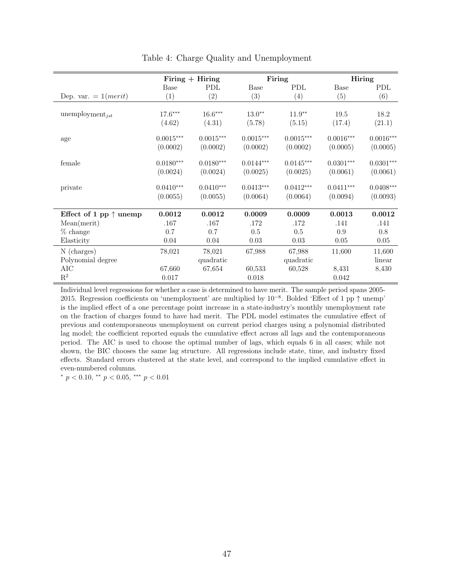|                                 | Firing $+$ Hiring |             |                   | Firing      | Hiring           |             |  |
|---------------------------------|-------------------|-------------|-------------------|-------------|------------------|-------------|--|
|                                 | Base              | <b>PDL</b>  | Base              | PDL         | Base             | <b>PDL</b>  |  |
| Dep. var. $= 1(merit)$          | $\left( 1\right)$ | (2)         | $\left( 3\right)$ | (4)         | $\left(5\right)$ | (6)         |  |
|                                 |                   |             |                   |             |                  |             |  |
| unemployment <sub>jst</sub>     | $17.6***$         | $16.6***$   | $13.0**$          | $11.9**$    | 19.5             | 18.2        |  |
|                                 | (4.62)            | (4.31)      | (5.78)            | (5.15)      | (17.4)           | (21.1)      |  |
| age                             | $0.0015***$       | $0.0015***$ | $0.0015***$       | $0.0015***$ | $0.0016***$      | $0.0016***$ |  |
|                                 | (0.0002)          | (0.0002)    | (0.0002)          | (0.0002)    | (0.0005)         | (0.0005)    |  |
| female                          | $0.0180***$       | $0.0180***$ | $0.0144***$       | $0.0145***$ | $0.0301***$      | $0.0301***$ |  |
|                                 | (0.0024)          | (0.0024)    | (0.0025)          | (0.0025)    | (0.0061)         | (0.0061)    |  |
| private                         | $0.0410***$       | $0.0410***$ | $0.0413***$       | $0.0412***$ | $0.0411***$      | $0.0408***$ |  |
|                                 | (0.0055)          | (0.0055)    | (0.0064)          | (0.0064)    | (0.0094)         | (0.0093)    |  |
| Effect of 1 pp $\uparrow$ unemp | 0.0012            | 0.0012      | 0.0009            | 0.0009      | 0.0013           | 0.0012      |  |
| Mean(merit)                     | .167              | .167        | .172              | .172        | .141             | .141        |  |
| % change                        | 0.7               | 0.7         | 0.5               | 0.5         | 0.9              | 0.8         |  |
| Elasticity                      | 0.04              | 0.04        | 0.03              | 0.03        | 0.05             | $0.05\,$    |  |
| N (charges)                     | 78,021            | 78,021      | 67,988            | 67,988      | 11,600           | 11,600      |  |
| Polynomial degree               |                   | quadratic   |                   | quadratic   |                  | linear      |  |
| $\rm AIC$                       | 67,660            | 67,654      | 60,533            | 60,528      | 8,431            | 8,430       |  |
| $\mathbf{R}^2$                  | 0.017             |             | 0.018             |             | 0.042            |             |  |

Table 4: Charge Quality and Unemployment

Individual level regressions for whether a case is determined to have merit. The sample period spans 2005- 2015. Regression coefficients on 'unemployment' are multiplied by 10<sup>−</sup><sup>8</sup> . Bolded 'Effect of 1 pp ↑ unemp' is the implied effect of a one percentage point increase in a state-industry's monthly unemployment rate on the fraction of charges found to have had merit. The PDL model estimates the cumulative effect of previous and contemporaneous unemployment on current period charges using a polynomial distributed lag model; the coefficient reported equals the cumulative effect across all lags and the contemporaneous period. The AIC is used to choose the optimal number of lags, which equals 6 in all cases; while not shown, the BIC chooses the same lag structure. All regressions include state, time, and industry fixed effects. Standard errors clustered at the state level, and correspond to the implied cumulative effect in even-numbered columns.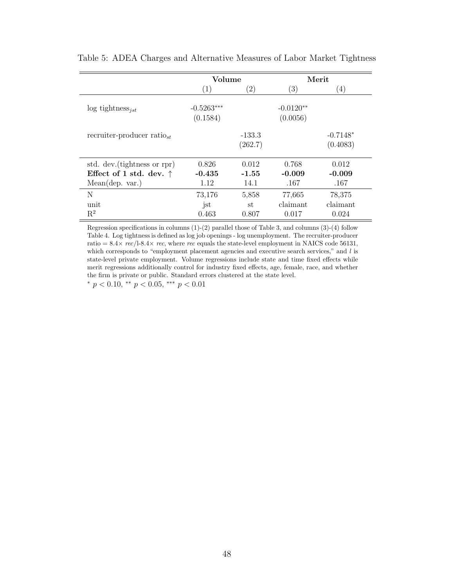|                                  | Volume                   |                     |                         | Merit                  |
|----------------------------------|--------------------------|---------------------|-------------------------|------------------------|
|                                  | (1)                      | $\left( 2\right)$   | (3)                     | $\left(4\right)$       |
| $\log$ tightness <sub>ist</sub>  | $-0.5263***$<br>(0.1584) |                     | $-0.0120**$<br>(0.0056) |                        |
| recruiter-producer ratio $_{st}$ |                          | $-133.3$<br>(262.7) |                         | $-0.7148*$<br>(0.4083) |
| std. dev. (tightness or rpr)     | 0.826                    | 0.012               | 0.768                   | 0.012                  |
| Effect of 1 std. dev. $\uparrow$ | $-0.435$                 | $-1.55$             | $-0.009$                | $-0.009$               |
| Mean(dep. var.)                  | 1.12                     | 14.1                | .167                    | .167                   |
| N                                | 73,176                   | 5,858               | 77,665                  | 78,375                 |
| unit                             | jst                      | st                  | claimant                | claimant               |
| $\mathrm{R}^2$                   | 0.463                    | 0.807               | 0.017                   | 0.024                  |

| Table 5: ADEA Charges and Alternative Measures of Labor Market Tightness |  |  |  |  |  |  |  |
|--------------------------------------------------------------------------|--|--|--|--|--|--|--|
|--------------------------------------------------------------------------|--|--|--|--|--|--|--|

Regression specifications in columns (1)-(2) parallel those of Table 3, and columns (3)-(4) follow Table 4. Log tightness is defined as log job openings - log unemployment. The recruiter-producer ratio =  $8.4 \times$  rec/l-8.4 $\times$  rec, where rec equals the state-level employment in NAICS code 56131, which corresponds to "employment placement agencies and executive search services," and l is state-level private employment. Volume regressions include state and time fixed effects while merit regressions additionally control for industry fixed effects, age, female, race, and whether the firm is private or public. Standard errors clustered at the state level.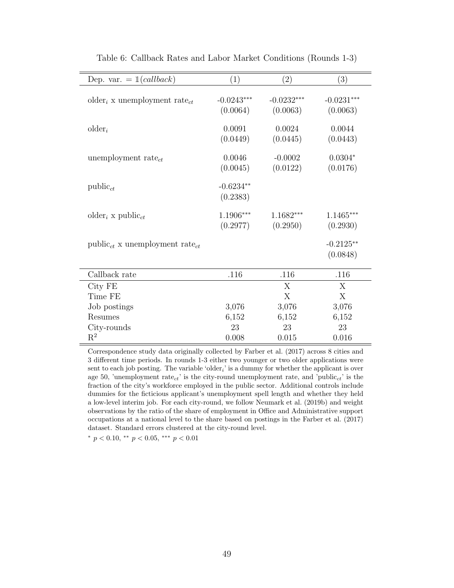| Dep. var. $= 1(callback)$                            | (1)                      | (2)                      | (3)                      |
|------------------------------------------------------|--------------------------|--------------------------|--------------------------|
| older <sub>i</sub> x unemployment rate <sub>ct</sub> | $-0.0243***$<br>(0.0064) | $-0.0232***$<br>(0.0063) | $-0.0231***$<br>(0.0063) |
| $\text{older}_i$                                     | 0.0091<br>(0.0449)       | 0.0024<br>(0.0445)       | 0.0044<br>(0.0443)       |
| unemployment rate $_{ct}$                            | 0.0046<br>(0.0045)       | $-0.0002$<br>(0.0122)    | $0.0304*$<br>(0.0176)    |
| $\text{public}_{ct}$                                 | $-0.6234**$<br>(0.2383)  |                          |                          |
| older <sub>i</sub> x public <sub>ct</sub>            | $1.1906***$<br>(0.2977)  | 1.1682***<br>(0.2950)    | $1.1465***$<br>(0.2930)  |
| $public_{ct}$ x unemployment rate <sub>ct</sub>      |                          |                          | $-0.2125**$<br>(0.0848)  |
| Callback rate                                        | .116                     | .116                     | .116                     |
| City FE                                              |                          | X                        | X                        |
| Time FE                                              |                          | X                        | X                        |
| Job postings                                         | 3,076                    | 3,076                    | 3,076                    |
| Resumes                                              | 6,152                    | 6,152                    | 6,152                    |
| City-rounds                                          | 23                       | 23                       | 23                       |
| $\mathbf{R}^2$                                       | 0.008                    | 0.015                    | 0.016                    |

Table 6: Callback Rates and Labor Market Conditions (Rounds 1-3)

Correspondence study data originally collected by Farber et al. (2017) across 8 cities and 3 different time periods. In rounds 1-3 either two younger or two older applications were sent to each job posting. The variable 'older<sub>i</sub>' is a dummy for whether the applicant is over age 50, 'unemployment rate<sub>ct</sub>' is the city-round unemployment rate, and 'public<sub>ct</sub>' is the fraction of the city's workforce employed in the public sector. Additional controls include dummies for the ficticious applicant's unemployment spell length and whether they held a low-level interim job. For each city-round, we follow Neumark et al. (2019b) and weight observations by the ratio of the share of employment in Office and Administrative support occupations at a national level to the share based on postings in the Farber et al. (2017) dataset. Standard errors clustered at the city-round level.

\*  $p < 0.10$ , \*\*  $p < 0.05$ , \*\*\*  $p < 0.01$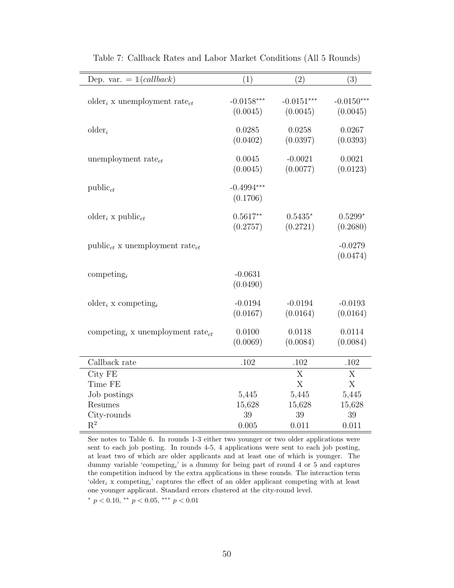| Dep. var. $= 1(callback)$                                | (1)                      | (2)                      | (3)                      |
|----------------------------------------------------------|--------------------------|--------------------------|--------------------------|
| older <sub>i</sub> x unemployment rate <sub>ct</sub>     | $-0.0158***$<br>(0.0045) | $-0.0151***$<br>(0.0045) | $-0.0150***$<br>(0.0045) |
| $older_i$                                                | 0.0285<br>(0.0402)       | 0.0258<br>(0.0397)       | 0.0267<br>(0.0393)       |
| unemployment rate <sub>ct</sub>                          | 0.0045<br>(0.0045)       | $-0.0021$<br>(0.0077)    | 0.0021<br>(0.0123)       |
| $public_{ct}$                                            | $-0.4994***$<br>(0.1706) |                          |                          |
| older <sub>i</sub> x public <sub>ct</sub>                | $0.5617**$<br>(0.2757)   | $0.5435*$<br>(0.2721)    | $0.5299*$<br>(0.2680)    |
| $public_{ct}$ x unemployment rate <sub>ct</sub>          |                          |                          | $-0.0279$<br>(0.0474)    |
| competing <sub>i</sub>                                   | $-0.0631$<br>(0.0490)    |                          |                          |
| older <sub>i</sub> x competing <sub>i</sub>              | $-0.0194$<br>(0.0167)    | $-0.0194$<br>(0.0164)    | $-0.0193$<br>(0.0164)    |
| competing <sub>i</sub> x unemployment rate <sub>ct</sub> | 0.0100<br>(0.0069)       | 0.0118<br>(0.0084)       | 0.0114<br>(0.0084)       |
| Callback rate                                            | .102                     | .102                     | .102                     |
| City FE                                                  |                          | X                        | X                        |
| Time FE                                                  |                          | X                        | X                        |
| Job postings                                             | 5,445                    | 5,445                    | 5,445                    |
| Resumes                                                  | 15,628                   | 15,628                   | 15,628                   |
| City-rounds                                              | 39                       | 39                       | 39                       |
| $\mathrm{R}^2$                                           | 0.005                    | 0.011                    | 0.011                    |

Table 7: Callback Rates and Labor Market Conditions (All 5 Rounds)

See notes to Table 6. In rounds 1-3 either two younger or two older applications were sent to each job posting. In rounds 4-5, 4 applications were sent to each job posting, at least two of which are older applicants and at least one of which is younger. The dummy variable 'competing<sub>i</sub>' is a dummy for being part of round 4 or 5 and captures the competition induced by the extra applications in these rounds. The interaction term 'older<sub>i</sub> x competing<sub>i</sub>' captures the effect of an older applicant competing with at least one younger applicant. Standard errors clustered at the city-round level.

\*  $p < 0.10$ , \*\*  $p < 0.05$ , \*\*\*  $p < 0.01$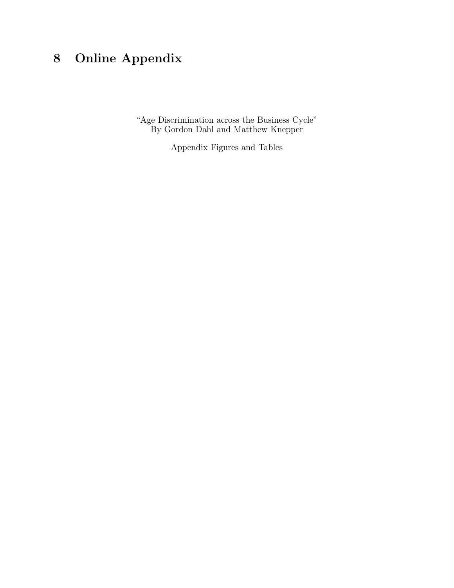# 8 Online Appendix

"Age Discrimination across the Business Cycle" By Gordon Dahl and Matthew Knepper

Appendix Figures and Tables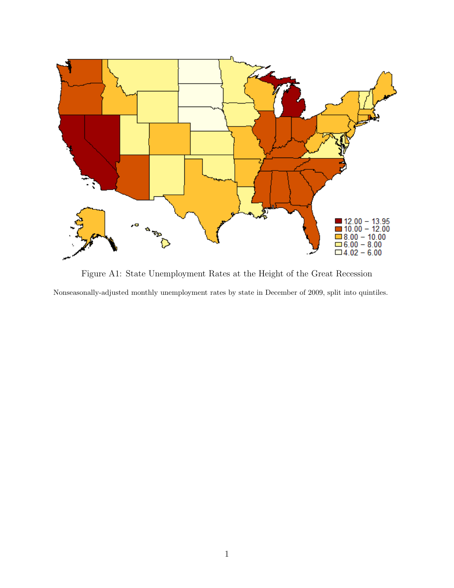

Figure A1: State Unemployment Rates at the Height of the Great Recession Nonseasonally-adjusted monthly unemployment rates by state in December of 2009, split into quintiles.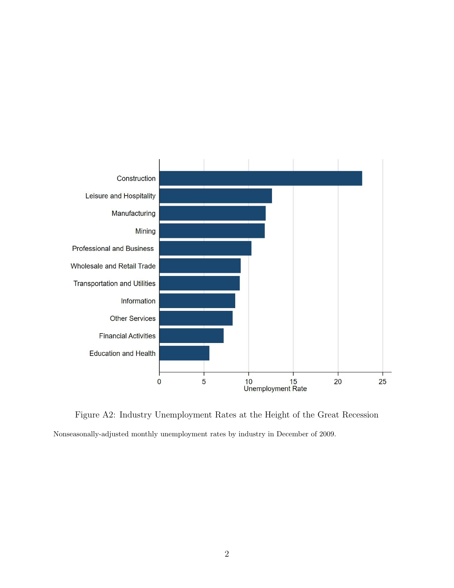

Figure A2: Industry Unemployment Rates at the Height of the Great Recession Nonseasonally-adjusted monthly unemployment rates by industry in December of 2009.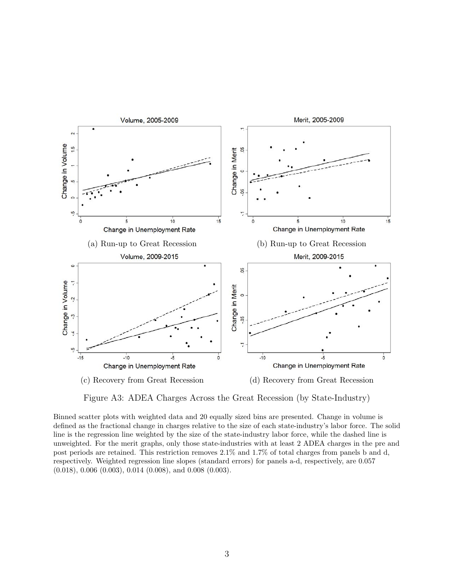

Figure A3: ADEA Charges Across the Great Recession (by State-Industry)

Binned scatter plots with weighted data and 20 equally sized bins are presented. Change in volume is defined as the fractional change in charges relative to the size of each state-industry's labor force. The solid line is the regression line weighted by the size of the state-industry labor force, while the dashed line is unweighted. For the merit graphs, only those state-industries with at least 2 ADEA charges in the pre and post periods are retained. This restriction removes 2.1% and 1.7% of total charges from panels b and d, respectively. Weighted regression line slopes (standard errors) for panels a-d, respectively, are 0.057 (0.018), 0.006 (0.003), 0.014 (0.008), and 0.008 (0.003).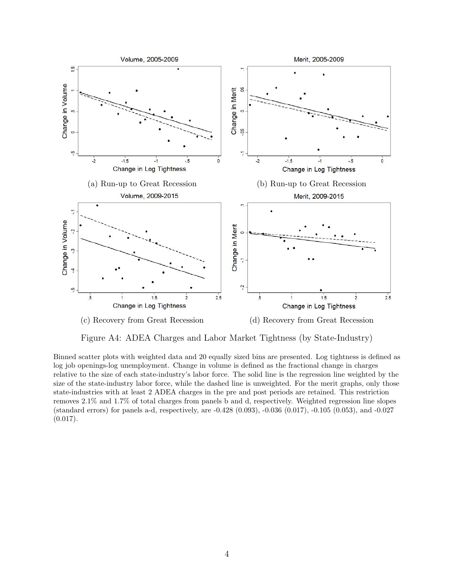

Figure A4: ADEA Charges and Labor Market Tightness (by State-Industry)

Binned scatter plots with weighted data and 20 equally sized bins are presented. Log tightness is defined as log job openings-log unemployment. Change in volume is defined as the fractional change in charges relative to the size of each state-industry's labor force. The solid line is the regression line weighted by the size of the state-industry labor force, while the dashed line is unweighted. For the merit graphs, only those state-industries with at least 2 ADEA charges in the pre and post periods are retained. This restriction removes 2.1% and 1.7% of total charges from panels b and d, respectively. Weighted regression line slopes (standard errors) for panels a-d, respectively, are -0.428 (0.093), -0.036 (0.017), -0.105 (0.053), and -0.027  $(0.017).$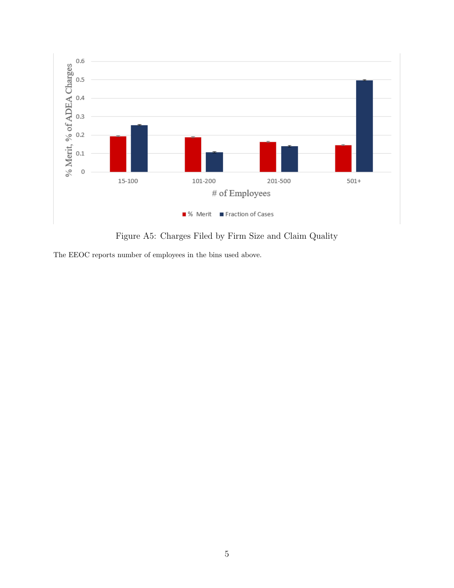

Figure A5: Charges Filed by Firm Size and Claim Quality

The EEOC reports number of employees in the bins used above.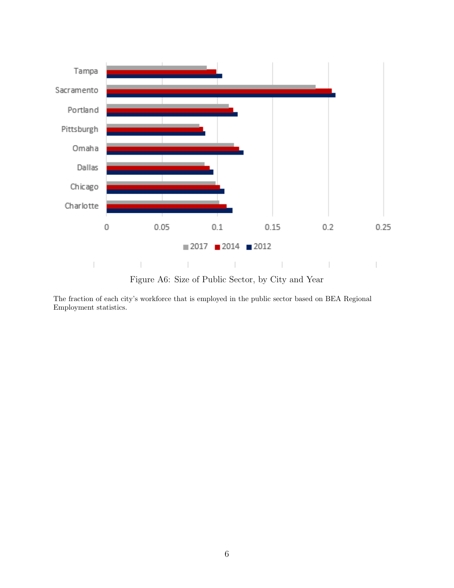

Figure A6: Size of Public Sector, by City and Year

The fraction of each city's workforce that is employed in the public sector based on BEA Regional Employment statistics.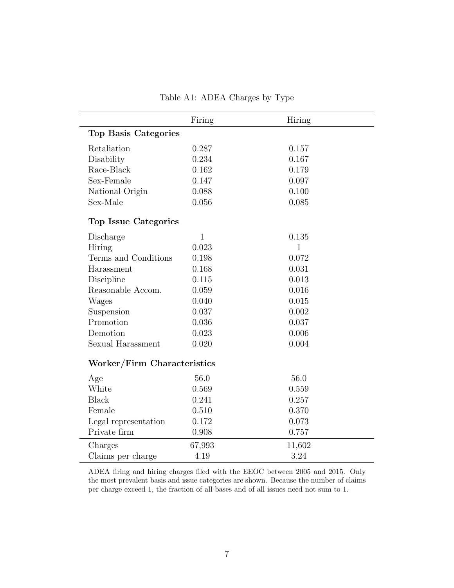|                             | Firing       | Hiring |
|-----------------------------|--------------|--------|
| <b>Top Basis Categories</b> |              |        |
| Retaliation                 | 0.287        | 0.157  |
| Disability                  | 0.234        | 0.167  |
| Race-Black                  | 0.162        | 0.179  |
| Sex-Female                  | 0.147        | 0.097  |
| National Origin             | 0.088        | 0.100  |
| Sex-Male                    | 0.056        | 0.085  |
| Top Issue Categories        |              |        |
| Discharge                   | $\mathbf{1}$ | 0.135  |
| Hiring                      | 0.023        | 1      |
| Terms and Conditions        | 0.198        | 0.072  |
| Harassment                  | 0.168        | 0.031  |
| Discipline                  | 0.115        | 0.013  |
| Reasonable Accom.           | 0.059        | 0.016  |
| Wages                       | 0.040        | 0.015  |
| Suspension                  | 0.037        | 0.002  |
| Promotion                   | 0.036        | 0.037  |
| Demotion                    | 0.023        | 0.006  |
| Sexual Harassment           | 0.020        | 0.004  |
| Worker/Firm Characteristics |              |        |
| Age                         | 56.0         | 56.0   |
| White                       | 0.569        | 0.559  |
| <b>Black</b>                | 0.241        | 0.257  |
| Female                      | 0.510        | 0.370  |
| Legal representation        | 0.172        | 0.073  |
| Private firm                | 0.908        | 0.757  |
| Charges                     | 67,993       | 11,602 |
| Claims per charge           | 4.19         | 3.24   |

Table A1: ADEA Charges by Type

ADEA firing and hiring charges filed with the EEOC between 2005 and 2015. Only the most prevalent basis and issue categories are shown. Because the number of claims per charge exceed 1, the fraction of all bases and of all issues need not sum to 1.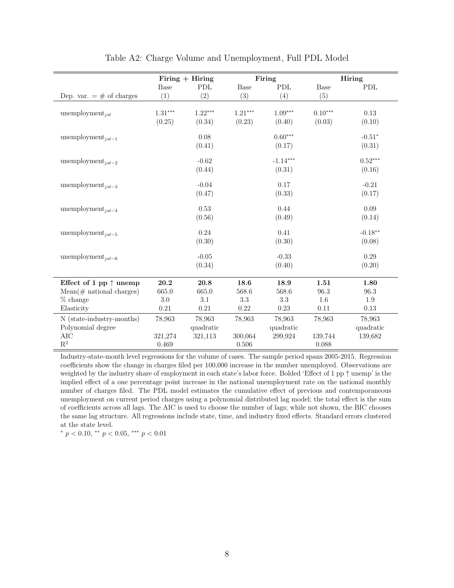|                                 | Firing $+$ Hiring |           |           | Firing     |           | Hiring      |
|---------------------------------|-------------------|-----------|-----------|------------|-----------|-------------|
|                                 | Base              | PDL       | Base      | PDL        | Base      | ${\rm PDL}$ |
| Dep. var. $=$ # of charges      | (1)               | (2)       | (3)       | (4)        | (5)       |             |
|                                 |                   |           |           |            |           |             |
| unemployment <sub>ist</sub>     | $1.31***$         | $1.22***$ | $1.21***$ | $1.09***$  | $0.10***$ | 0.13        |
|                                 | (0.25)            | (0.34)    | (0.23)    | (0.40)     | (0.03)    | (0.10)      |
|                                 |                   |           |           | $0.60***$  |           |             |
| unemployment <sub>ist-1</sub>   |                   | 0.08      |           |            |           | $-0.51*$    |
|                                 |                   | (0.41)    |           | (0.17)     |           | (0.31)      |
| unemployment <sub>ist-2</sub>   |                   | $-0.62$   |           | $-1.14***$ |           | $0.52***$   |
|                                 |                   | (0.44)    |           | (0.31)     |           | (0.16)      |
|                                 |                   |           |           |            |           |             |
| unemployment <sub>jst-3</sub>   |                   | $-0.04$   |           | 0.17       |           | $-0.21$     |
|                                 |                   | (0.47)    |           | (0.33)     |           | (0.17)      |
| unemployment <sub>ist-4</sub>   |                   | 0.53      |           | 0.44       |           | 0.09        |
|                                 |                   | (0.56)    |           | (0.49)     |           | (0.14)      |
|                                 |                   |           |           |            |           |             |
| unemployment <sub>ist-5</sub>   |                   | 0.24      |           | 0.41       |           | $-0.18***$  |
|                                 |                   | (0.30)    |           | (0.30)     |           | (0.08)      |
| unemployment <sub>jst-6</sub>   |                   | $-0.05$   |           | $-0.33$    |           | 0.29        |
|                                 |                   | (0.34)    |           | (0.40)     |           | (0.20)      |
|                                 |                   |           |           |            |           |             |
| Effect of 1 pp $\uparrow$ unemp | 20.2              | 20.8      | 18.6      | 18.9       | 1.51      | 1.80        |
| $Mean(\#$ national charges)     | 665.0             | 665.0     | 568.6     | 568.6      | 96.3      | 96.3        |
| $%$ change                      | 3.0               | 3.1       | 3.3       | 3.3        | 1.6       | 1.9         |
| Elasticity                      | 0.21              | 0.21      | 0.22      | 0.23       | 0.11      | 0.13        |
| N (state-industry-months)       | 78,963            | 78,963    | 78,963    | 78,963     | 78,963    | 78,963      |
| Polynomial degree               |                   | quadratic |           | quadratic  |           | quadratic   |
| AIC                             | 321,274           | 321,113   | 300,064   | 299,924    | 139,744   | 139,682     |
| $\mathbf{R}^2$                  | 0.469             |           | 0.506     |            | 0.088     |             |

#### Table A2: Charge Volume and Unemployment, Full PDL Model

Industry-state-month level regressions for the volume of cases. The sample period spans 2005-2015. Regression coefficients show the change in charges filed per 100,000 increase in the number unemployed. Observations are weighted by the industry share of employment in each state's labor force. Bolded 'Effect of 1 pp ↑ unemp' is the implied effect of a one percentage point increase in the national unemployment rate on the national monthly number of charges filed. The PDL model estimates the cumulative effect of previous and contemporaneous unemployment on current period charges using a polynomial distributed lag model; the total effect is the sum of coefficients across all lags. The AIC is used to choose the number of lags; while not shown, the BIC chooses the same lag structure. All regressions include state, time, and industry fixed effects. Standard errors clustered at the state level.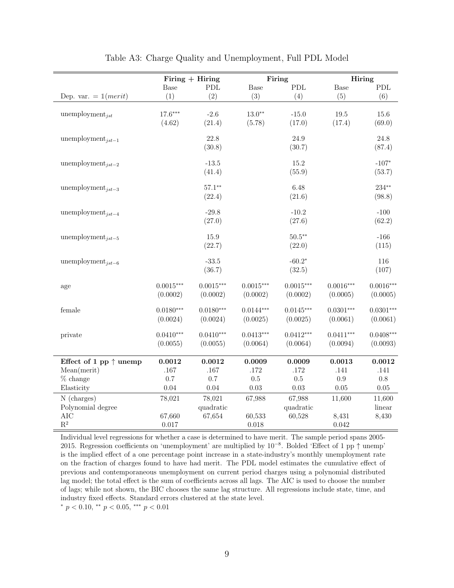|                                 | Firing $+$ Hiring |             |             | Firing      | Hiring      |             |
|---------------------------------|-------------------|-------------|-------------|-------------|-------------|-------------|
|                                 | Base              | ${\rm PDL}$ | Base        | PDL         | Base        | ${\rm PDL}$ |
| Dep. var. = $1(merit)$          | (1)               | (2)         | (3)         | (4)         | (5)         | (6)         |
|                                 |                   |             |             |             |             |             |
| unemployment <sub>ist</sub>     | $17.6***$         | $-2.6$      | $13.0**$    | $-15.0$     | 19.5        | 15.6        |
|                                 | (4.62)            | (21.4)      | (5.78)      | (17.0)      | (17.4)      | (69.0)      |
| unemployment <sub>ist-1</sub>   |                   | 22.8        |             | 24.9        |             | 24.8        |
|                                 |                   | (30.8)      |             | (30.7)      |             | (87.4)      |
|                                 |                   |             |             |             |             |             |
| unemployment <sub>jst-2</sub>   |                   | $-13.5$     |             | 15.2        |             | $-107*$     |
|                                 |                   | (41.4)      |             | (55.9)      |             | (53.7)      |
| unemployment <sub>jst-3</sub>   |                   | $57.1**$    |             | 6.48        |             | $234**$     |
|                                 |                   | (22.4)      |             | (21.6)      |             | (98.8)      |
| unemployment <sub>ist-4</sub>   |                   | $-29.8$     |             | $-10.2$     |             | $-100$      |
|                                 |                   | (27.0)      |             | (27.6)      |             | (62.2)      |
|                                 |                   |             |             |             |             |             |
| unemployment <sub>ist-5</sub>   |                   | 15.9        |             | $50.5***$   |             | $-166$      |
|                                 |                   | (22.7)      |             | (22.0)      |             | (115)       |
| unemployment <sub>ist-6</sub>   |                   | $-33.5$     |             | $-60.2*$    |             | 116         |
|                                 |                   | (36.7)      |             | (32.5)      |             | (107)       |
|                                 |                   |             |             |             |             |             |
| age                             | $0.0015***$       | $0.0015***$ | $0.0015***$ | $0.0015***$ | $0.0016***$ | $0.0016***$ |
|                                 | (0.0002)          | (0.0002)    | (0.0002)    | (0.0002)    | (0.0005)    | (0.0005)    |
| female                          | $0.0180***$       | $0.0180***$ | $0.0144***$ | $0.0145***$ | $0.0301***$ | $0.0301***$ |
|                                 | (0.0024)          | (0.0024)    | (0.0025)    | (0.0025)    | (0.0061)    | (0.0061)    |
| private                         | $0.0410***$       | $0.0410***$ | $0.0413***$ | $0.0412***$ | $0.0411***$ | $0.0408***$ |
|                                 | (0.0055)          | (0.0055)    | (0.0064)    | (0.0064)    | (0.0094)    | (0.0093)    |
|                                 |                   |             |             |             |             |             |
| Effect of 1 pp $\uparrow$ unemp | 0.0012            | 0.0012      | 0.0009      | 0.0009      | 0.0013      | 0.0012      |
| Mean(merit)                     | .167              | .167        | .172        | .172        | .141        | .141        |
| $%$ change                      | 0.7               | $0.7\,$     | $0.5\,$     | $0.5\,$     | $0.9\,$     | $0.8\,$     |
| Elasticity                      | 0.04              | $0.04\,$    | 0.03        | 0.03        | $0.05\,$    | $0.05\,$    |
| N (charges)                     | 78,021            | 78,021      | 67,988      | 67,988      | 11,600      | 11,600      |
| Polynomial degree               |                   | quadratic   |             | quadratic   |             | linear      |
| $\rm AIC$                       | 67,660            | 67,654      | 60,533      | 60,528      | 8,431       | 8,430       |
| $\mathbf{R}^2$                  | $0.017\,$         |             | $0.018\,$   |             | 0.042       |             |

Table A3: Charge Quality and Unemployment, Full PDL Model

Individual level regressions for whether a case is determined to have merit. The sample period spans 2005- 2015. Regression coefficients on 'unemployment' are multiplied by  $10^{-8}$ . Bolded 'Effect of 1 pp ↑ unemp' is the implied effect of a one percentage point increase in a state-industry's monthly unemployment rate on the fraction of charges found to have had merit. The PDL model estimates the cumulative effect of previous and contemporaneous unemployment on current period charges using a polynomial distributed lag model; the total effect is the sum of coefficients across all lags. The AIC is used to choose the number of lags; while not shown, the BIC chooses the same lag structure. All regressions include state, time, and industry fixed effects. Standard errors clustered at the state level.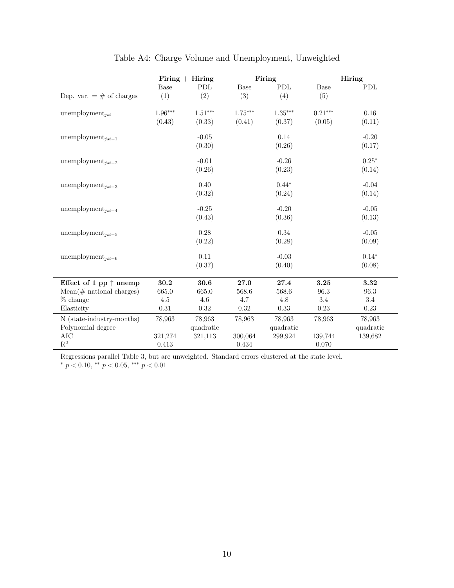|                                 | $Firing + Hiring$ |             |           | Firing    |           | Hiring    |  |
|---------------------------------|-------------------|-------------|-----------|-----------|-----------|-----------|--|
|                                 | <b>Base</b>       | ${\rm PDL}$ | Base      | PDL       | Base      | PDL       |  |
| Dep. var. $=$ # of charges      | (1)               | (2)         | (3)       | (4)       | (5)       |           |  |
|                                 |                   |             |           |           |           |           |  |
| unemployment <sub>ist</sub>     | $1.96***$         | $1.51***$   | $1.75***$ | $1.35***$ | $0.21***$ | $0.16\,$  |  |
|                                 | (0.43)            | (0.33)      | (0.41)    | (0.37)    | (0.05)    | (0.11)    |  |
| unemployment <sub>ist-1</sub>   |                   | $-0.05$     |           | $0.14\,$  |           | $-0.20$   |  |
|                                 |                   | (0.30)      |           | (0.26)    |           | (0.17)    |  |
| unemployment <sub>ist-2</sub>   |                   | $-0.01$     |           | $-0.26$   |           | $0.25*$   |  |
|                                 |                   | (0.26)      |           | (0.23)    |           | (0.14)    |  |
|                                 |                   |             |           |           |           |           |  |
| unemployment <sub>jst-3</sub>   |                   | 0.40        |           | $0.44*$   |           | $-0.04$   |  |
|                                 |                   | (0.32)      |           | (0.24)    |           | (0.14)    |  |
| unemployment <sub>ist-4</sub>   |                   | $-0.25$     |           | $-0.20$   |           | $-0.05$   |  |
|                                 |                   | (0.43)      |           | (0.36)    |           | (0.13)    |  |
| unemployment <sub>ist-5</sub>   |                   | 0.28        |           | 0.34      |           | $-0.05$   |  |
|                                 |                   | (0.22)      |           | (0.28)    |           | (0.09)    |  |
| unemployment <sub>ist-6</sub>   |                   | 0.11        |           | $-0.03$   |           | $0.14*$   |  |
|                                 |                   | (0.37)      |           | (0.40)    |           | (0.08)    |  |
|                                 |                   |             |           |           |           |           |  |
| Effect of 1 pp $\uparrow$ unemp | 30.2              | 30.6        | 27.0      | 27.4      | 3.25      | 3.32      |  |
| $Mean(\#$ national charges)     | 665.0             | 665.0       | 568.6     | 568.6     | 96.3      | 96.3      |  |
| $%$ change                      | 4.5               | 4.6         | 4.7       | 4.8       | 3.4       | 3.4       |  |
| Elasticity                      | $\rm 0.31$        | 0.32        | 0.32      | 0.33      | 0.23      | 0.23      |  |
| N (state-industry-months)       | 78,963            | 78,963      | 78,963    | 78,963    | 78,963    | 78,963    |  |
| Polynomial degree               |                   | quadratic   |           | quadratic |           | quadratic |  |
| AIC                             | 321,274           | 321,113     | 300,064   | 299,924   | 139,744   | 139,682   |  |
| $\mathbf{R}^2$                  | 0.413             |             | 0.434     |           | 0.070     |           |  |

## Table A4: Charge Volume and Unemployment, Unweighted

Regressions parallel Table 3, but are unweighted. Standard errors clustered at the state level.  $*$  p < 0.10,  $*$  p < 0.05,  $**$  p < 0.01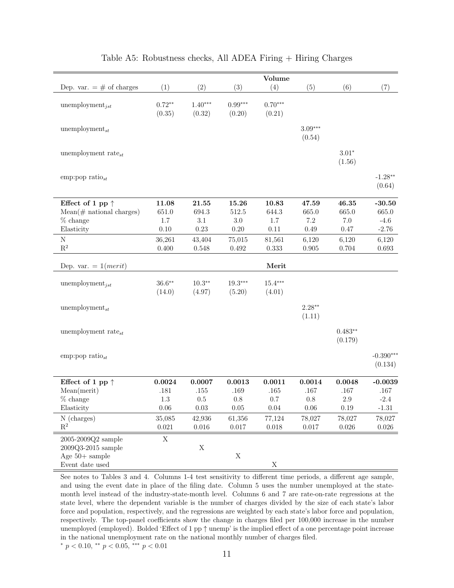|                             |           |                    |             | Volume      |           |               |             |
|-----------------------------|-----------|--------------------|-------------|-------------|-----------|---------------|-------------|
| Dep. var. $=$ # of charges  | (1)       | (2)                | (3)         | (4)         | (5)       | (6)           | (7)         |
| unemployment $_{jst}$       | $0.72**$  | $1.40***$          | $0.99***$   | $0.70***$   |           |               |             |
|                             | (0.35)    | (0.32)             | (0.20)      | (0.21)      |           |               |             |
|                             |           |                    |             |             |           |               |             |
| unemployment $_{st}$        |           |                    |             |             | $3.09***$ |               |             |
|                             |           |                    |             |             | (0.54)    |               |             |
| unemployment rate $_{st}$   |           |                    |             |             |           | $3.01^{\ast}$ |             |
|                             |           |                    |             |             |           | (1.56)        |             |
| emp:pop ratio $_{st}$       |           |                    |             |             |           |               | $-1.28**$   |
|                             |           |                    |             |             |           |               | (0.64)      |
|                             |           |                    |             |             |           |               |             |
| Effect of 1 pp $\uparrow$   | 11.08     | $\bf 21.55$        | 15.26       | 10.83       | 47.59     | 46.35         | $-30.50$    |
| $Mean(\#$ national charges) | $651.0\,$ | 694.3              | $512.5\,$   | 644.3       | 665.0     | 665.0         | 665.0       |
| $%$ change                  | $1.7\,$   | $3.1\,$            | $3.0\,$     | $1.7\,$     | 7.2       | $7.0\,$       | $-4.6$      |
| Elasticity                  | 0.10      | $0.23\,$           | $0.20\,$    | $0.11\,$    | 0.49      | 0.47          | $-2.76$     |
| $\rm N$                     | 36,261    | 43,404             | 75,015      | 81,561      | 6,120     | 6,120         | 6,120       |
| $\mathbf{R}^2$              | 0.400     | 0.548              | 0.492       | 0.333       | 0.905     | 0.704         | 0.693       |
| Dep. var. = $1(merit)$      |           |                    |             | Merit       |           |               |             |
|                             | $36.6**$  |                    | $19.3***$   | $15.4***$   |           |               |             |
| unemployment <sub>jst</sub> | (14.0)    | $10.3**$<br>(4.97) | (5.20)      | (4.01)      |           |               |             |
|                             |           |                    |             |             |           |               |             |
| unemployment $_{st}$        |           |                    |             |             | $2.28**$  |               |             |
|                             |           |                    |             |             | (1.11)    |               |             |
| unemployment rate $_{st}$   |           |                    |             |             |           | $0.483**$     |             |
|                             |           |                    |             |             |           | (0.179)       |             |
|                             |           |                    |             |             |           |               |             |
| emp:pop ratio $_{st}$       |           |                    |             |             |           |               | $-0.390***$ |
|                             |           |                    |             |             |           |               | (0.134)     |
| Effect of 1 pp $\uparrow$   | 0.0024    | 0.0007             | 0.0013      | 0.0011      | 0.0014    | 0.0048        | $-0.0039$   |
| Mean(merit)                 | .181      | $.155\,$           | .169        | .165        | .167      | .167          | $.167\,$    |
| $%$ change                  | $1.3\,$   | $0.5\,$            | $0.8\,$     | $0.7\,$     | $0.8\,$   | $2.9\,$       | $-2.4$      |
| Elasticity                  | $0.06\,$  | $0.03\,$           | $0.05\,$    | $0.04\,$    | $0.06\,$  | 0.19          | $-1.31$     |
| N (charges)                 | 35,085    | 42,936             | 61,356      | 77,124      | 78,027    | 78,027        | 78,027      |
| $\mathbf{R}^2$              | 0.021     | $0.016\,$          | $0.017\,$   | $0.018\,$   | $0.017\,$ | $0.026\,$     | $0.026\,$   |
| 2005-2009Q2 sample          | X         |                    |             |             |           |               |             |
| 2009Q3-2015 sample          |           | $\mathbf X$        |             |             |           |               |             |
| Age $50+$ sample            |           |                    | $\mathbf X$ |             |           |               |             |
| Event date used             |           |                    |             | $\mathbf X$ |           |               |             |

### Table A5: Robustness checks, All ADEA Firing  $+$  Hiring Charges

See notes to Tables 3 and 4. Columns 1-4 test sensitivity to different time periods, a different age sample, and using the event date in place of the filing date. Column 5 uses the number unemployed at the statemonth level instead of the industry-state-month level. Columns 6 and 7 are rate-on-rate regressions at the state level, where the dependent variable is the number of charges divided by the size of each state's labor force and population, respectively, and the regressions are weighted by each state's labor force and population, respectively. The top-panel coefficients show the change in charges filed per 100,000 increase in the number unemployed (employed). Bolded 'Effect of 1 pp ↑ unemp' is the implied effect of a one percentage point increase in the national unemployment rate on the national monthly number of charges filed.  $\frac{*}{p}$  < 0.10,  $\frac{**}{p}$  < 0.05,  $\frac{***}{p}$   $\frac{p}{0.01}$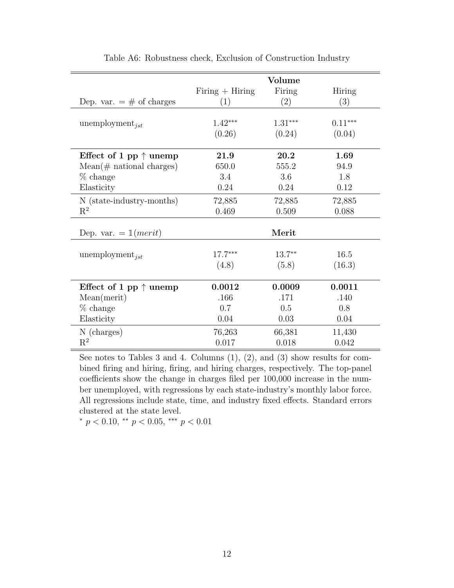|                                 | Volume            |           |           |
|---------------------------------|-------------------|-----------|-----------|
|                                 | Firing $+$ Hiring | Firing    | Hiring    |
| Dep. var. $=$ # of charges      | (1)               | (2)       | (3)       |
|                                 |                   |           |           |
| unemployment <sub>ist</sub>     | $1.42***$         | $1.31***$ | $0.11***$ |
|                                 | (0.26)            | (0.24)    | (0.04)    |
|                                 |                   |           |           |
| Effect of 1 pp $\uparrow$ unemp | 21.9              | 20.2      | 1.69      |
| $Mean(\#$ national charges)     | 650.0             | 555.2     | 94.9      |
| $%$ change                      | 3.4               | 3.6       | 1.8       |
| Elasticity                      | 0.24              | 0.24      | 0.12      |
| N (state-industry-months)       | 72,885            | 72,885    | 72,885    |
| $\mathrm{R}^2$                  | 0.469             | 0.509     | 0.088     |
|                                 |                   |           |           |
| Dep. var. $= 1(merit)$          |                   | Merit     |           |
|                                 |                   |           |           |
| unemployment <sub>ist</sub>     | $17.7***$         | $13.7***$ | 16.5      |
|                                 | (4.8)             | (5.8)     | (16.3)    |
|                                 |                   |           |           |
| Effect of 1 pp $\uparrow$ unemp | 0.0012            | 0.0009    | 0.0011    |
| Mean(merit)                     | .166              | .171      | .140      |
| $%$ change                      | 0.7               | 0.5       | 0.8       |
| Elasticity                      | 0.04              | 0.03      | 0.04      |
| N (charges)                     | 76,263            | 66,381    | 11,430    |
| $R^2$                           | 0.017             | 0.018     | 0.042     |

Table A6: Robustness check, Exclusion of Construction Industry

See notes to Tables 3 and 4. Columns (1), (2), and (3) show results for combined firing and hiring, firing, and hiring charges, respectively. The top-panel coefficients show the change in charges filed per 100,000 increase in the number unemployed, with regressions by each state-industry's monthly labor force. All regressions include state, time, and industry fixed effects. Standard errors clustered at the state level.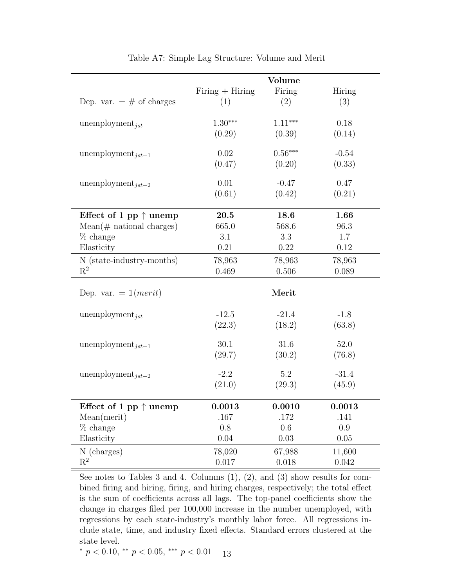|                                                |                   | Volume         |                |
|------------------------------------------------|-------------------|----------------|----------------|
|                                                | $Firing + Hiring$ | Firing         | Hiring         |
| Dep. var. $=$ # of charges                     | (1)               | (2)            | (3)            |
|                                                |                   |                |                |
| unemployment <sub>jst</sub>                    | $1.30***$         | $1.11***$      | 0.18           |
|                                                | (0.29)            | (0.39)         | (0.14)         |
| unemployment <sub>ist-1</sub>                  | 0.02              | $0.56***$      | $-0.54$        |
|                                                | (0.47)            | (0.20)         | (0.33)         |
|                                                |                   |                |                |
| unemployment $_{jst-2}$                        | 0.01              | $-0.47$        | 0.47           |
|                                                | (0.61)            | (0.42)         | (0.21)         |
|                                                |                   |                |                |
| Effect of 1 pp $\uparrow$ unemp                | 20.5              | 18.6           | 1.66           |
| $Mean(\text{\# national charges})$             | 665.0             | 568.6          | 96.3           |
| $%$ change                                     | 3.1               | 3.3            | 1.7            |
| Elasticity                                     | 0.21              | 0.22           | $0.12\,$       |
| N (state-industry-months)                      | 78,963            | 78,963         | 78,963         |
| $\mathbf{R}^2$                                 | 0.469             | 0.506          | 0.089          |
|                                                |                   |                |                |
| Dep. var. $= 1(merit)$                         |                   | Merit          |                |
|                                                | $-12.5$           | $-21.4$        | $-1.8$         |
| unemployment <sub>ist</sub>                    | (22.3)            | (18.2)         | (63.8)         |
|                                                |                   |                |                |
| unemployment <sub>jst-1</sub>                  | 30.1              | 31.6           | 52.0           |
|                                                | (29.7)            | (30.2)         | (76.8)         |
|                                                |                   |                |                |
| unemployment <sub>ist-2</sub>                  | $-2.2$            | 5.2            | $-31.4$        |
|                                                | (21.0)            | (29.3)         | (45.9)         |
|                                                |                   |                |                |
| Effect of 1 pp $\uparrow$ unemp<br>Mean(merit) | 0.0013<br>.167    | 0.0010<br>.172 | 0.0013<br>.141 |
| $%$ change                                     | 0.8               | 0.6            | 0.9            |
| Elasticity                                     | 0.04              | $0.03\,$       | 0.05           |
| N (charges)                                    | 78,020            | 67,988         | 11,600         |
| $\mathrm{R}^2$                                 | 0.017             | 0.018          | 0.042          |
|                                                |                   |                |                |

Table A7: Simple Lag Structure: Volume and Merit

See notes to Tables 3 and 4. Columns  $(1)$ ,  $(2)$ , and  $(3)$  show results for combined firing and hiring, firing, and hiring charges, respectively; the total effect is the sum of coefficients across all lags. The top-panel coefficients show the change in charges filed per 100,000 increase in the number unemployed, with regressions by each state-industry's monthly labor force. All regressions include state, time, and industry fixed effects. Standard errors clustered at the state level.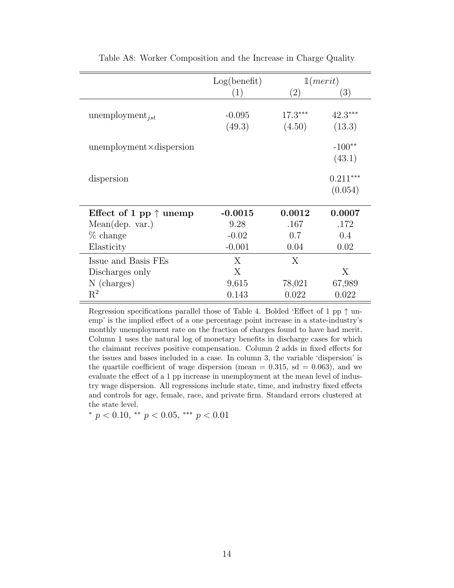|                                 | Log(benefit)       |                     | 1(merit)              |
|---------------------------------|--------------------|---------------------|-----------------------|
|                                 | (1)                | $\left( 2\right)$   | $\left( 3\right)$     |
| unemployment <sub>jst</sub>     | $-0.095$<br>(49.3) | $17.3***$<br>(4.50) | $42.3***$<br>(13.3)   |
| $unemptyment \times dispersion$ |                    |                     | $-100**$<br>(43.1)    |
| dispersion                      |                    |                     | $0.211***$<br>(0.054) |
| Effect of 1 pp $\uparrow$ unemp | $-0.0015$          | 0.0012              | 0.0007                |
| Mean(dep. var.)                 | 9.28               | .167                | .172                  |
| $%$ change                      | $-0.02$            | 0.7                 | 0.4                   |
| Elasticity                      | $-0.001$           | 0.04                | 0.02                  |
| Issue and Basis FEs             | X                  | X                   |                       |
| Discharges only                 | X                  |                     | X                     |
| N (charges)                     | 9,615              | 78,021              | 67,989                |
| $\mathbf{R}^2$                  | 0.143              | 0.022               | 0.022                 |

Table A8: Worker Composition and the Increase in Charge Quality

Regression specifications parallel those of Table 4. Bolded 'Effect of 1 pp  $\uparrow$  unemp' is the implied effect of a one percentage point increase in a state-industry's monthly unemployment rate on the fraction of charges found to have had merit. Column 1 uses the natural log of monetary benefits in discharge cases for which the claimant receives positive compensation. Column 2 adds in fixed effects for the issues and bases included in a case. In column 3, the variable 'dispersion' is the quartile coefficient of wage dispersion (mean  $= 0.315$ , sd  $= 0.063$ ), and we evaluate the effect of a 1 pp increase in unemployment at the mean level of industry wage dispersion. All regressions include state, time, and industry fixed effects and controls for age, female, race, and private firm. Standard errors clustered at the state level.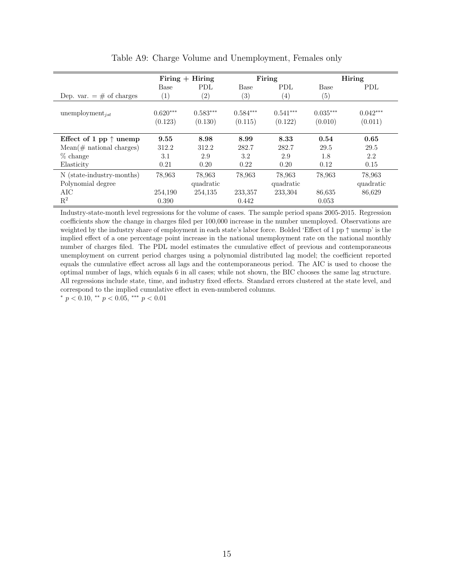|                                 | $Firing + Hiring$ |            | Firing     |                   |            | Hiring     |
|---------------------------------|-------------------|------------|------------|-------------------|------------|------------|
|                                 | Base              | PDL        | Base       | <b>PDL</b>        | Base       | <b>PDL</b> |
| Dep. var. $=$ # of charges      | $\left(1\right)$  | (2)        | (3)        | $\left( 4\right)$ | (5)        |            |
| unemployment $_{jst}$           | $0.620***$        | $0.583***$ | $0.584***$ | $0.541***$        | $0.035***$ | $0.042***$ |
|                                 | (0.123)           | (0.130)    | (0.115)    | (0.122)           | (0.010)    | (0.011)    |
| Effect of 1 pp $\uparrow$ unemp | 9.55              | 8.98       | 8.99       | 8.33              | 0.54       | 0.65       |
| $Mean(\#$ national charges)     | 312.2             | 312.2      | 282.7      | 282.7             | 29.5       | 29.5       |
| $%$ change                      | 3.1               | 2.9        | 3.2        | 2.9               | 1.8        | 2.2        |
| Elasticity                      | 0.21              | 0.20       | 0.22       | 0.20              | 0.12       | 0.15       |
| N (state-industry-months)       | 78,963            | 78,963     | 78,963     | 78,963            | 78.963     | 78,963     |
| Polynomial degree               |                   | quadratic  |            | quadratic         |            | quadratic  |
| AIC                             | 254,190           | 254,135    | 233,357    | 233,304           | 86,635     | 86,629     |
| $R^2$                           | 0.390             |            | 0.442      |                   | 0.053      |            |

Table A9: Charge Volume and Unemployment, Females only

Industry-state-month level regressions for the volume of cases. The sample period spans 2005-2015. Regression coefficients show the change in charges filed per 100,000 increase in the number unemployed. Observations are weighted by the industry share of employment in each state's labor force. Bolded 'Effect of 1 pp ↑ unemp' is the implied effect of a one percentage point increase in the national unemployment rate on the national monthly number of charges filed. The PDL model estimates the cumulative effect of previous and contemporaneous unemployment on current period charges using a polynomial distributed lag model; the coefficient reported equals the cumulative effect across all lags and the contemporaneous period. The AIC is used to choose the optimal number of lags, which equals 6 in all cases; while not shown, the BIC chooses the same lag structure. All regressions include state, time, and industry fixed effects. Standard errors clustered at the state level, and correspond to the implied cumulative effect in even-numbered columns.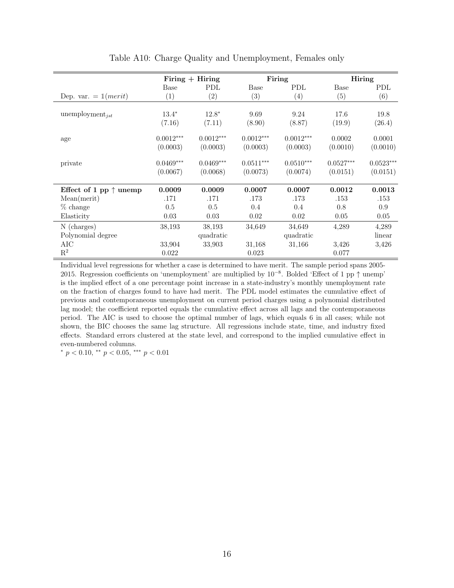|                                 | Firing $+$ Hiring       |                         |                         | Firing                  | Hiring                  |                         |
|---------------------------------|-------------------------|-------------------------|-------------------------|-------------------------|-------------------------|-------------------------|
|                                 | Base                    | <b>PDL</b>              | Base                    | PDL                     | Base                    | PDL                     |
| Dep. var. $= 1(merit)$          | $\left( 1\right)$       | (2)                     | (3)                     | $\left( 4\right)$       | (5)                     | (6)                     |
| unemployment <sub>ist</sub>     | $13.4*$<br>(7.16)       | $12.8*$<br>(7.11)       | 9.69<br>(8.90)          | 9.24<br>(8.87)          | 17.6<br>(19.9)          | 19.8<br>(26.4)          |
| age                             | $0.0012***$<br>(0.0003) | $0.0012***$<br>(0.0003) | $0.0012***$<br>(0.0003) | $0.0012***$<br>(0.0003) | 0.0002<br>(0.0010)      | 0.0001<br>(0.0010)      |
| private                         | $0.0469***$<br>(0.0067) | $0.0469***$<br>(0.0068) | $0.0511***$<br>(0.0073) | $0.0510***$<br>(0.0074) | $0.0527***$<br>(0.0151) | $0.0523***$<br>(0.0151) |
| Effect of 1 pp $\uparrow$ unemp | 0.0009                  | 0.0009                  | 0.0007                  | 0.0007                  | 0.0012                  | 0.0013                  |
| Mean(merit)                     | .171                    | .171                    | .173                    | .173                    | .153                    | .153                    |
| % change                        | 0.5                     | 0.5                     | 0.4                     | 0.4                     | 0.8                     | 0.9                     |
| Elasticity                      | 0.03                    | 0.03                    | 0.02                    | 0.02                    | 0.05                    | 0.05                    |
| N (charges)                     | 38,193                  | 38,193                  | 34,649                  | 34,649                  | 4,289                   | 4,289                   |
| Polynomial degree               |                         | quadratic               |                         | quadratic               |                         | linear                  |
| AIC                             | 33,904                  | 33,903                  | 31,168                  | 31,166                  | 3,426                   | 3,426                   |
| $\mathbf{R}^2$                  | 0.022                   |                         | 0.023                   |                         | 0.077                   |                         |

Table A10: Charge Quality and Unemployment, Females only

Individual level regressions for whether a case is determined to have merit. The sample period spans 2005- 2015. Regression coefficients on 'unemployment' are multiplied by  $10^{-8}$ . Bolded 'Effect of 1 pp ↑ unemp' is the implied effect of a one percentage point increase in a state-industry's monthly unemployment rate on the fraction of charges found to have had merit. The PDL model estimates the cumulative effect of previous and contemporaneous unemployment on current period charges using a polynomial distributed lag model; the coefficient reported equals the cumulative effect across all lags and the contemporaneous period. The AIC is used to choose the optimal number of lags, which equals 6 in all cases; while not shown, the BIC chooses the same lag structure. All regressions include state, time, and industry fixed effects. Standard errors clustered at the state level, and correspond to the implied cumulative effect in even-numbered columns.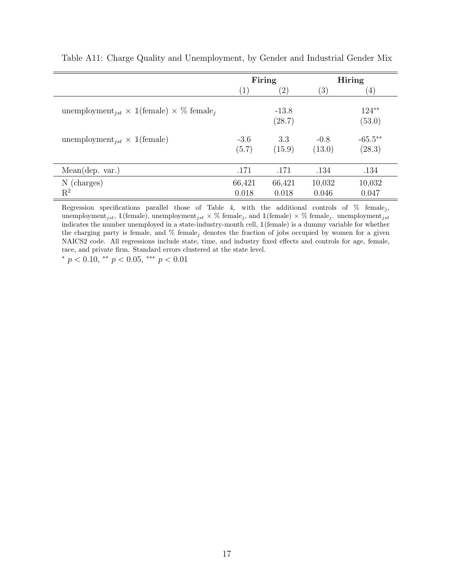|                                                                               |                  | Firing            |                  | <b>Hiring</b>        |
|-------------------------------------------------------------------------------|------------------|-------------------|------------------|----------------------|
|                                                                               | $\left(1\right)$ | $\left( 2\right)$ | (3)              | $\left( 4\right)$    |
| unemployment <sub>ist</sub> $\times$ 1(female) $\times$ % female <sub>i</sub> |                  | $-13.8$<br>(28.7) |                  | $124**$<br>(53.0)    |
| unemployment <sub>ist</sub> $\times$ 1(female)                                | $-3.6$<br>(5.7)  | 3.3<br>(15.9)     | $-0.8$<br>(13.0) | $-65.5***$<br>(28.3) |
| Mean(dep. var.)                                                               | .171             | .171              | .134             | .134                 |
| N (charges)<br>$\mathrm{R}^2$                                                 | 66,421<br>0.018  | 66,421<br>0.018   | 10,032<br>0.046  | 10,032<br>0.047      |

Table A11: Charge Quality and Unemployment, by Gender and Industrial Gender Mix

Regression specifications parallel those of Table 4, with the additional controls of  $\%$  female<sub>j</sub>, unemployment<sub>jst</sub>,  $\mathbb{1}$ (female), unemployment<sub>jst</sub>  $\times$  % female<sub>j</sub>, and  $\mathbb{1}$ (female)  $\times$  % female<sub>j</sub>. unemployment<sub>jst</sub> indicates the number unemployed in a state-industry-month cell, 1(female) is a dummy variable for whether the charging party is female, and  $%$  female<sub>j</sub> denotes the fraction of jobs occupied by women for a given NAICS2 code. All regressions include state, time, and industry fixed effects and controls for age, female, race, and private firm. Standard errors clustered at the state level.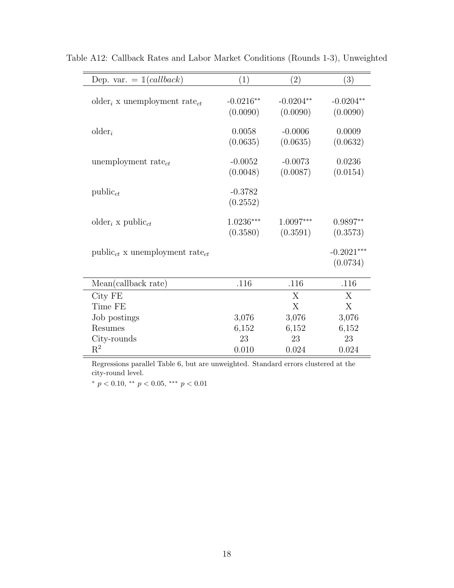| Dep. var. $= 1(callback)$                            | (1)         | (2)         | (3)          |
|------------------------------------------------------|-------------|-------------|--------------|
| older <sub>i</sub> x unemployment rate <sub>ct</sub> | $-0.0216**$ | $-0.0204**$ | $-0.0204**$  |
|                                                      | (0.0090)    | (0.0090)    | (0.0090)     |
| $older_i$                                            | 0.0058      | $-0.0006$   | 0.0009       |
|                                                      | (0.0635)    | (0.0635)    | (0.0632)     |
| unemployment rate $_{ct}$                            | $-0.0052$   | $-0.0073$   | 0.0236       |
|                                                      | (0.0048)    | (0.0087)    | (0.0154)     |
| $public_{ct}$                                        | $-0.3782$   |             |              |
|                                                      | (0.2552)    |             |              |
| older <sub>i</sub> x public <sub>ct</sub>            | $1.0236***$ | $1.0097***$ | $0.9897**$   |
|                                                      | (0.3580)    | (0.3591)    | (0.3573)     |
| $public_{ct}$ x unemployment rate <sub>ct</sub>      |             |             | $-0.2021***$ |
|                                                      |             |             | (0.0734)     |
| Mean(callback rate)                                  | .116        | .116        | .116         |
| City FE                                              |             | X           | X            |
| Time FE                                              |             | X           | X            |
| Job postings                                         | 3,076       | 3,076       | 3,076        |
| Resumes                                              | 6,152       | 6,152       | 6,152        |
| City-rounds                                          | 23          | 23          | 23           |
| $\mathrm{R}^2$                                       | 0.010       | 0.024       | 0.024        |

Table A12: Callback Rates and Labor Market Conditions (Rounds 1-3), Unweighted

Regressions parallel Table 6, but are unweighted. Standard errors clustered at the city-round level.